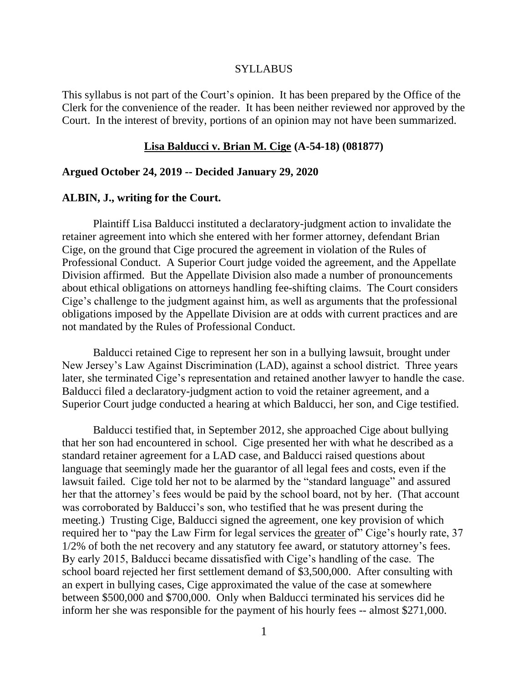#### **SYLLABUS**

This syllabus is not part of the Court's opinion. It has been prepared by the Office of the Clerk for the convenience of the reader. It has been neither reviewed nor approved by the Court. In the interest of brevity, portions of an opinion may not have been summarized.

#### **Lisa Balducci v. Brian M. Cige (A-54-18) (081877)**

#### **Argued October 24, 2019 -- Decided January 29, 2020**

#### **ALBIN, J., writing for the Court.**

Plaintiff Lisa Balducci instituted a declaratory-judgment action to invalidate the retainer agreement into which she entered with her former attorney, defendant Brian Cige, on the ground that Cige procured the agreement in violation of the Rules of Professional Conduct. A Superior Court judge voided the agreement, and the Appellate Division affirmed. But the Appellate Division also made a number of pronouncements about ethical obligations on attorneys handling fee-shifting claims. The Court considers Cige's challenge to the judgment against him, as well as arguments that the professional obligations imposed by the Appellate Division are at odds with current practices and are not mandated by the Rules of Professional Conduct.

Balducci retained Cige to represent her son in a bullying lawsuit, brought under New Jersey's Law Against Discrimination (LAD), against a school district. Three years later, she terminated Cige's representation and retained another lawyer to handle the case. Balducci filed a declaratory-judgment action to void the retainer agreement, and a Superior Court judge conducted a hearing at which Balducci, her son, and Cige testified.

Balducci testified that, in September 2012, she approached Cige about bullying that her son had encountered in school. Cige presented her with what he described as a standard retainer agreement for a LAD case, and Balducci raised questions about language that seemingly made her the guarantor of all legal fees and costs, even if the lawsuit failed. Cige told her not to be alarmed by the "standard language" and assured her that the attorney's fees would be paid by the school board, not by her. (That account was corroborated by Balducci's son, who testified that he was present during the meeting.) Trusting Cige, Balducci signed the agreement, one key provision of which required her to "pay the Law Firm for legal services the greater of" Cige's hourly rate, 37 1/2% of both the net recovery and any statutory fee award, or statutory attorney's fees. By early 2015, Balducci became dissatisfied with Cige's handling of the case. The school board rejected her first settlement demand of \$3,500,000. After consulting with an expert in bullying cases, Cige approximated the value of the case at somewhere between \$500,000 and \$700,000. Only when Balducci terminated his services did he inform her she was responsible for the payment of his hourly fees -- almost \$271,000.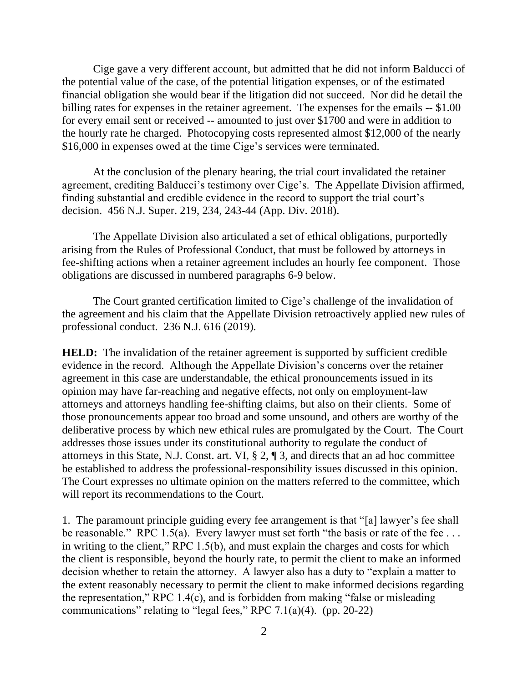Cige gave a very different account, but admitted that he did not inform Balducci of the potential value of the case, of the potential litigation expenses, or of the estimated financial obligation she would bear if the litigation did not succeed. Nor did he detail the billing rates for expenses in the retainer agreement. The expenses for the emails -- \$1.00 for every email sent or received -- amounted to just over \$1700 and were in addition to the hourly rate he charged. Photocopying costs represented almost \$12,000 of the nearly \$16,000 in expenses owed at the time Cige's services were terminated.

At the conclusion of the plenary hearing, the trial court invalidated the retainer agreement, crediting Balducci's testimony over Cige's. The Appellate Division affirmed, finding substantial and credible evidence in the record to support the trial court's decision. 456 N.J. Super. 219, 234, 243-44 (App. Div. 2018).

The Appellate Division also articulated a set of ethical obligations, purportedly arising from the Rules of Professional Conduct, that must be followed by attorneys in fee-shifting actions when a retainer agreement includes an hourly fee component. Those obligations are discussed in numbered paragraphs 6-9 below.

The Court granted certification limited to Cige's challenge of the invalidation of the agreement and his claim that the Appellate Division retroactively applied new rules of professional conduct. 236 N.J. 616 (2019).

**HELD:** The invalidation of the retainer agreement is supported by sufficient credible evidence in the record. Although the Appellate Division's concerns over the retainer agreement in this case are understandable, the ethical pronouncements issued in its opinion may have far-reaching and negative effects, not only on employment-law attorneys and attorneys handling fee-shifting claims, but also on their clients. Some of those pronouncements appear too broad and some unsound, and others are worthy of the deliberative process by which new ethical rules are promulgated by the Court. The Court addresses those issues under its constitutional authority to regulate the conduct of attorneys in this State, N.J. Const. art. VI, § 2, ¶ 3, and directs that an ad hoc committee be established to address the professional-responsibility issues discussed in this opinion. The Court expresses no ultimate opinion on the matters referred to the committee, which will report its recommendations to the Court.

1. The paramount principle guiding every fee arrangement is that "[a] lawyer's fee shall be reasonable." RPC 1.5(a). Every lawyer must set forth "the basis or rate of the fee ... in writing to the client," RPC 1.5(b), and must explain the charges and costs for which the client is responsible, beyond the hourly rate, to permit the client to make an informed decision whether to retain the attorney. A lawyer also has a duty to "explain a matter to the extent reasonably necessary to permit the client to make informed decisions regarding the representation," RPC 1.4(c), and is forbidden from making "false or misleading communications" relating to "legal fees," RPC 7.1(a)(4). (pp. 20-22)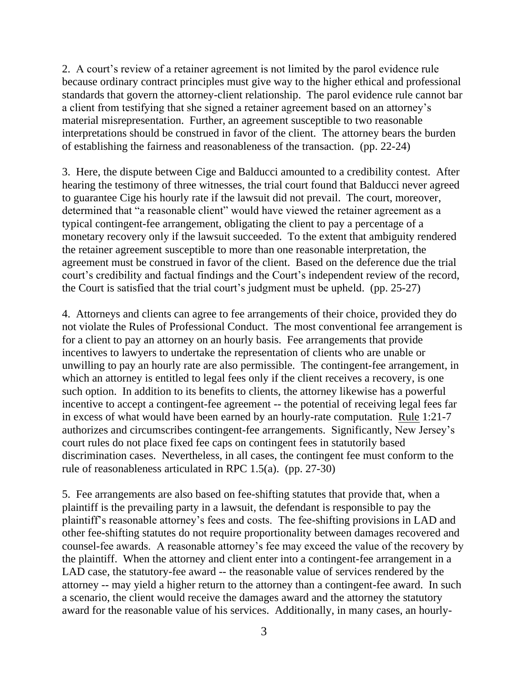2. A court's review of a retainer agreement is not limited by the parol evidence rule because ordinary contract principles must give way to the higher ethical and professional standards that govern the attorney-client relationship. The parol evidence rule cannot bar a client from testifying that she signed a retainer agreement based on an attorney's material misrepresentation. Further, an agreement susceptible to two reasonable interpretations should be construed in favor of the client. The attorney bears the burden of establishing the fairness and reasonableness of the transaction. (pp. 22-24)

3. Here, the dispute between Cige and Balducci amounted to a credibility contest. After hearing the testimony of three witnesses, the trial court found that Balducci never agreed to guarantee Cige his hourly rate if the lawsuit did not prevail. The court, moreover, determined that "a reasonable client" would have viewed the retainer agreement as a typical contingent-fee arrangement, obligating the client to pay a percentage of a monetary recovery only if the lawsuit succeeded. To the extent that ambiguity rendered the retainer agreement susceptible to more than one reasonable interpretation, the agreement must be construed in favor of the client. Based on the deference due the trial court's credibility and factual findings and the Court's independent review of the record, the Court is satisfied that the trial court's judgment must be upheld. (pp. 25-27)

4. Attorneys and clients can agree to fee arrangements of their choice, provided they do not violate the Rules of Professional Conduct. The most conventional fee arrangement is for a client to pay an attorney on an hourly basis. Fee arrangements that provide incentives to lawyers to undertake the representation of clients who are unable or unwilling to pay an hourly rate are also permissible. The contingent-fee arrangement, in which an attorney is entitled to legal fees only if the client receives a recovery, is one such option. In addition to its benefits to clients, the attorney likewise has a powerful incentive to accept a contingent-fee agreement -- the potential of receiving legal fees far in excess of what would have been earned by an hourly-rate computation. Rule 1:21-7 authorizes and circumscribes contingent-fee arrangements. Significantly, New Jersey's court rules do not place fixed fee caps on contingent fees in statutorily based discrimination cases. Nevertheless, in all cases, the contingent fee must conform to the rule of reasonableness articulated in RPC 1.5(a). (pp. 27-30)

5. Fee arrangements are also based on fee-shifting statutes that provide that, when a plaintiff is the prevailing party in a lawsuit, the defendant is responsible to pay the plaintiff's reasonable attorney's fees and costs. The fee-shifting provisions in LAD and other fee-shifting statutes do not require proportionality between damages recovered and counsel-fee awards. A reasonable attorney's fee may exceed the value of the recovery by the plaintiff. When the attorney and client enter into a contingent-fee arrangement in a LAD case, the statutory-fee award -- the reasonable value of services rendered by the attorney -- may yield a higher return to the attorney than a contingent-fee award. In such a scenario, the client would receive the damages award and the attorney the statutory award for the reasonable value of his services. Additionally, in many cases, an hourly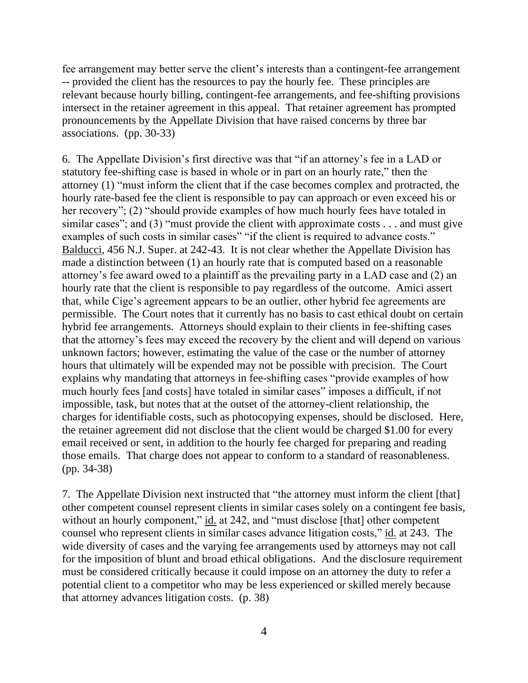fee arrangement may better serve the client's interests than a contingent-fee arrangement -- provided the client has the resources to pay the hourly fee. These principles are relevant because hourly billing, contingent-fee arrangements, and fee-shifting provisions intersect in the retainer agreement in this appeal. That retainer agreement has prompted pronouncements by the Appellate Division that have raised concerns by three bar associations. (pp. 30-33)

6. The Appellate Division's first directive was that "if an attorney's fee in a LAD or statutory fee-shifting case is based in whole or in part on an hourly rate," then the attorney (1) "must inform the client that if the case becomes complex and protracted, the hourly rate-based fee the client is responsible to pay can approach or even exceed his or her recovery"; (2) "should provide examples of how much hourly fees have totaled in similar cases"; and  $(3)$  "must provide the client with approximate costs . . . and must give examples of such costs in similar cases" "if the client is required to advance costs." Balducci, 456 N.J. Super. at 242-43. It is not clear whether the Appellate Division has made a distinction between (1) an hourly rate that is computed based on a reasonable attorney's fee award owed to a plaintiff as the prevailing party in a LAD case and (2) an hourly rate that the client is responsible to pay regardless of the outcome. Amici assert that, while Cige's agreement appears to be an outlier, other hybrid fee agreements are permissible. The Court notes that it currently has no basis to cast ethical doubt on certain hybrid fee arrangements. Attorneys should explain to their clients in fee-shifting cases that the attorney's fees may exceed the recovery by the client and will depend on various unknown factors; however, estimating the value of the case or the number of attorney hours that ultimately will be expended may not be possible with precision. The Court explains why mandating that attorneys in fee-shifting cases "provide examples of how much hourly fees [and costs] have totaled in similar cases" imposes a difficult, if not impossible, task, but notes that at the outset of the attorney-client relationship, the charges for identifiable costs, such as photocopying expenses, should be disclosed. Here, the retainer agreement did not disclose that the client would be charged \$1.00 for every email received or sent, in addition to the hourly fee charged for preparing and reading those emails. That charge does not appear to conform to a standard of reasonableness. (pp. 34-38)

7. The Appellate Division next instructed that "the attorney must inform the client [that] other competent counsel represent clients in similar cases solely on a contingent fee basis, without an hourly component," id. at 242, and "must disclose [that] other competent counsel who represent clients in similar cases advance litigation costs," id. at 243. The wide diversity of cases and the varying fee arrangements used by attorneys may not call for the imposition of blunt and broad ethical obligations. And the disclosure requirement must be considered critically because it could impose on an attorney the duty to refer a potential client to a competitor who may be less experienced or skilled merely because that attorney advances litigation costs. (p. 38)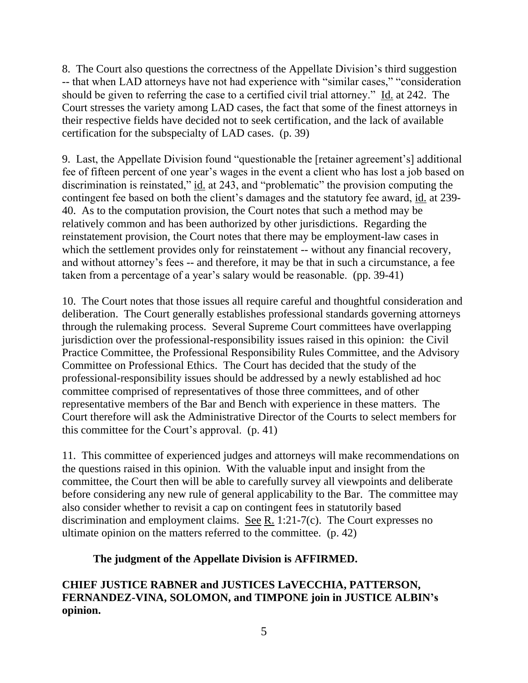8. The Court also questions the correctness of the Appellate Division's third suggestion -- that when LAD attorneys have not had experience with "similar cases," "consideration should be given to referring the case to a certified civil trial attorney." Id. at 242. The Court stresses the variety among LAD cases, the fact that some of the finest attorneys in their respective fields have decided not to seek certification, and the lack of available certification for the subspecialty of LAD cases. (p. 39)

9. Last, the Appellate Division found "questionable the [retainer agreement's] additional fee of fifteen percent of one year's wages in the event a client who has lost a job based on discrimination is reinstated," id. at 243, and "problematic" the provision computing the contingent fee based on both the client's damages and the statutory fee award, id. at 239- 40. As to the computation provision, the Court notes that such a method may be relatively common and has been authorized by other jurisdictions. Regarding the reinstatement provision, the Court notes that there may be employment-law cases in which the settlement provides only for reinstatement -- without any financial recovery, and without attorney's fees -- and therefore, it may be that in such a circumstance, a fee taken from a percentage of a year's salary would be reasonable. (pp. 39-41)

10. The Court notes that those issues all require careful and thoughtful consideration and deliberation. The Court generally establishes professional standards governing attorneys through the rulemaking process. Several Supreme Court committees have overlapping jurisdiction over the professional-responsibility issues raised in this opinion: the Civil Practice Committee, the Professional Responsibility Rules Committee, and the Advisory Committee on Professional Ethics. The Court has decided that the study of the professional-responsibility issues should be addressed by a newly established ad hoc committee comprised of representatives of those three committees, and of other representative members of the Bar and Bench with experience in these matters. The Court therefore will ask the Administrative Director of the Courts to select members for this committee for the Court's approval. (p. 41)

11. This committee of experienced judges and attorneys will make recommendations on the questions raised in this opinion. With the valuable input and insight from the committee, the Court then will be able to carefully survey all viewpoints and deliberate before considering any new rule of general applicability to the Bar. The committee may also consider whether to revisit a cap on contingent fees in statutorily based discrimination and employment claims. See R. 1:21-7(c). The Court expresses no ultimate opinion on the matters referred to the committee. (p. 42)

# **The judgment of the Appellate Division is AFFIRMED.**

**CHIEF JUSTICE RABNER and JUSTICES LaVECCHIA, PATTERSON, FERNANDEZ-VINA, SOLOMON, and TIMPONE join in JUSTICE ALBIN's opinion.**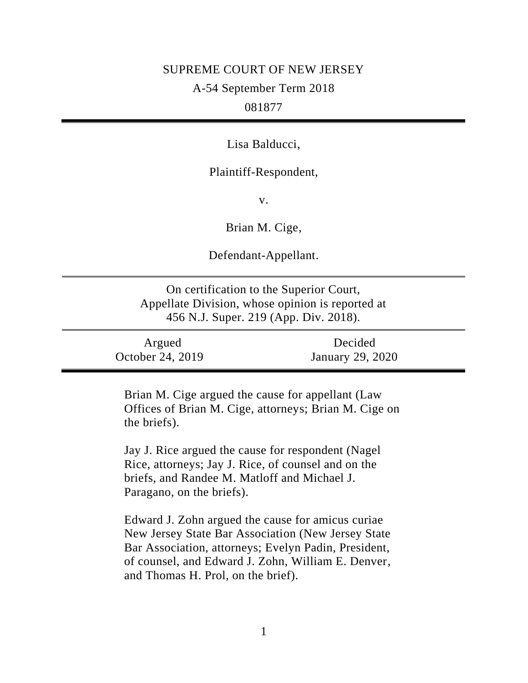## SUPREME COURT OF NEW JERSEY

A-54 September Term 2018

# 081877

Lisa Balducci,

### Plaintiff-Respondent,

v.

Brian M. Cige,

Defendant-Appellant.

On certification to the Superior Court, Appellate Division, whose opinion is reported at 456 N.J. Super. 219 (App. Div. 2018).

| Argued           | Decided          |
|------------------|------------------|
| October 24, 2019 | January 29, 2020 |

Brian M. Cige argued the cause for appellant (Law Offices of Brian M. Cige, attorneys; Brian M. Cige on the briefs).

Jay J. Rice argued the cause for respondent (Nagel Rice, attorneys; Jay J. Rice, of counsel and on the briefs, and Randee M. Matloff and Michael J. Paragano, on the briefs).

Edward J. Zohn argued the cause for amicus curiae New Jersey State Bar Association (New Jersey State Bar Association, attorneys; Evelyn Padin, President, of counsel, and Edward J. Zohn, William E. Denver, and Thomas H. Prol, on the brief).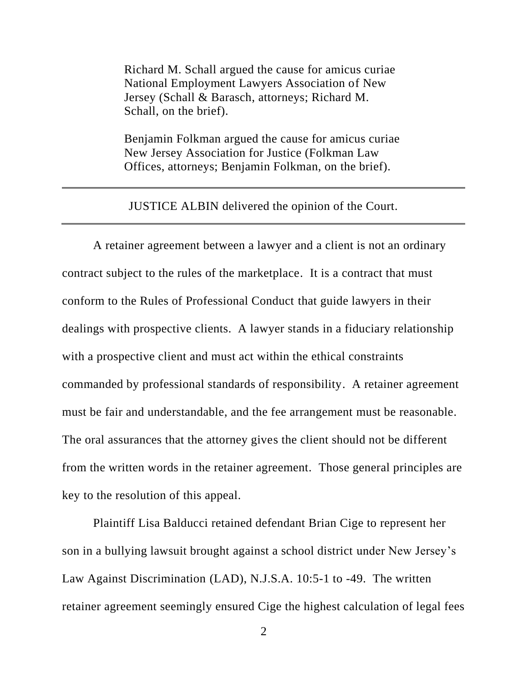Richard M. Schall argued the cause for amicus curiae National Employment Lawyers Association of New Jersey (Schall & Barasch, attorneys; Richard M. Schall, on the brief).

Benjamin Folkman argued the cause for amicus curiae New Jersey Association for Justice (Folkman Law Offices, attorneys; Benjamin Folkman, on the brief).

JUSTICE ALBIN delivered the opinion of the Court.

A retainer agreement between a lawyer and a client is not an ordinary contract subject to the rules of the marketplace. It is a contract that must conform to the Rules of Professional Conduct that guide lawyers in their dealings with prospective clients. A lawyer stands in a fiduciary relationship with a prospective client and must act within the ethical constraints commanded by professional standards of responsibility. A retainer agreement must be fair and understandable, and the fee arrangement must be reasonable. The oral assurances that the attorney gives the client should not be different from the written words in the retainer agreement. Those general principles are key to the resolution of this appeal.

Plaintiff Lisa Balducci retained defendant Brian Cige to represent her son in a bullying lawsuit brought against a school district under New Jersey's Law Against Discrimination (LAD), N.J.S.A. 10:5-1 to -49. The written retainer agreement seemingly ensured Cige the highest calculation of legal fees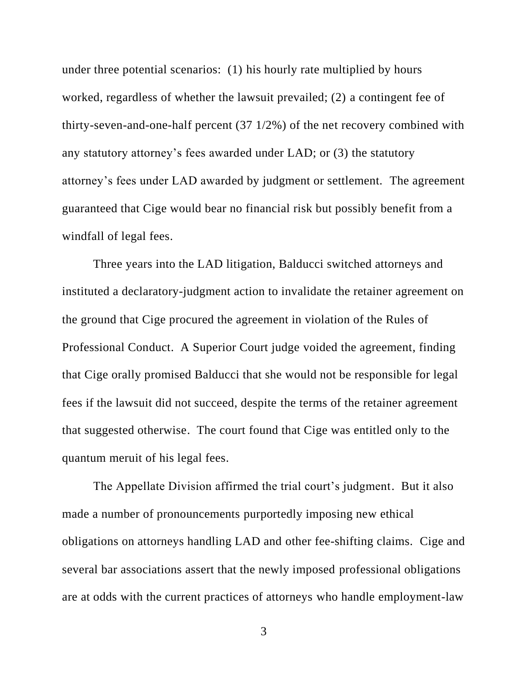under three potential scenarios: (1) his hourly rate multiplied by hours worked, regardless of whether the lawsuit prevailed; (2) a contingent fee of thirty-seven-and-one-half percent (37 1/2%) of the net recovery combined with any statutory attorney's fees awarded under LAD; or (3) the statutory attorney's fees under LAD awarded by judgment or settlement. The agreement guaranteed that Cige would bear no financial risk but possibly benefit from a windfall of legal fees.

Three years into the LAD litigation, Balducci switched attorneys and instituted a declaratory-judgment action to invalidate the retainer agreement on the ground that Cige procured the agreement in violation of the Rules of Professional Conduct. A Superior Court judge voided the agreement, finding that Cige orally promised Balducci that she would not be responsible for legal fees if the lawsuit did not succeed, despite the terms of the retainer agreement that suggested otherwise. The court found that Cige was entitled only to the quantum meruit of his legal fees.

The Appellate Division affirmed the trial court's judgment. But it also made a number of pronouncements purportedly imposing new ethical obligations on attorneys handling LAD and other fee-shifting claims. Cige and several bar associations assert that the newly imposed professional obligations are at odds with the current practices of attorneys who handle employment-law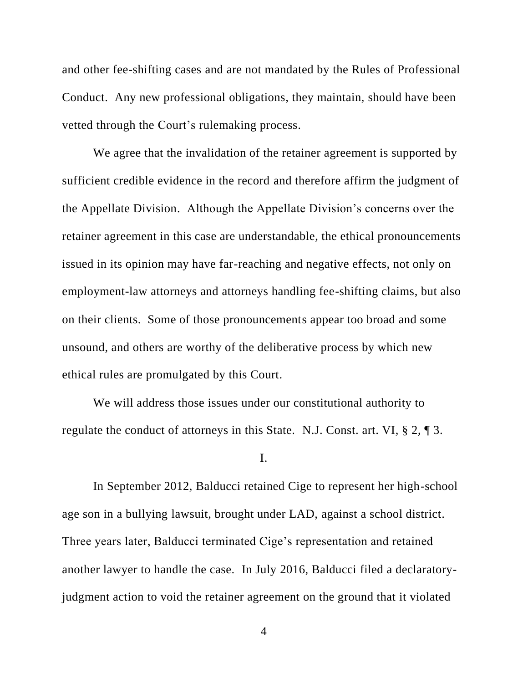and other fee-shifting cases and are not mandated by the Rules of Professional Conduct. Any new professional obligations, they maintain, should have been vetted through the Court's rulemaking process.

We agree that the invalidation of the retainer agreement is supported by sufficient credible evidence in the record and therefore affirm the judgment of the Appellate Division. Although the Appellate Division's concerns over the retainer agreement in this case are understandable, the ethical pronouncements issued in its opinion may have far-reaching and negative effects, not only on employment-law attorneys and attorneys handling fee-shifting claims, but also on their clients. Some of those pronouncements appear too broad and some unsound, and others are worthy of the deliberative process by which new ethical rules are promulgated by this Court.

We will address those issues under our constitutional authority to regulate the conduct of attorneys in this State. N.J. Const. art. VI,  $\S 2$ ,  $\P 3$ .

I.

In September 2012, Balducci retained Cige to represent her high-school age son in a bullying lawsuit, brought under LAD, against a school district. Three years later, Balducci terminated Cige's representation and retained another lawyer to handle the case. In July 2016, Balducci filed a declaratoryjudgment action to void the retainer agreement on the ground that it violated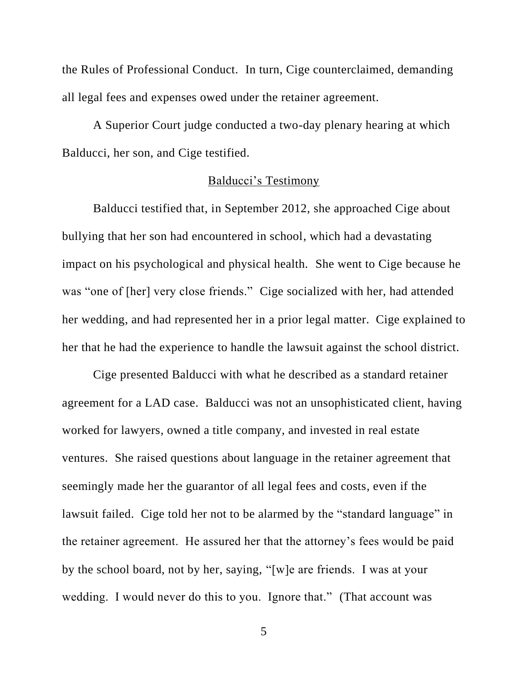the Rules of Professional Conduct. In turn, Cige counterclaimed, demanding all legal fees and expenses owed under the retainer agreement.

A Superior Court judge conducted a two-day plenary hearing at which Balducci, her son, and Cige testified.

## Balducci's Testimony

Balducci testified that, in September 2012, she approached Cige about bullying that her son had encountered in school, which had a devastating impact on his psychological and physical health. She went to Cige because he was "one of [her] very close friends." Cige socialized with her, had attended her wedding, and had represented her in a prior legal matter. Cige explained to her that he had the experience to handle the lawsuit against the school district.

Cige presented Balducci with what he described as a standard retainer agreement for a LAD case. Balducci was not an unsophisticated client, having worked for lawyers, owned a title company, and invested in real estate ventures. She raised questions about language in the retainer agreement that seemingly made her the guarantor of all legal fees and costs, even if the lawsuit failed. Cige told her not to be alarmed by the "standard language" in the retainer agreement. He assured her that the attorney's fees would be paid by the school board, not by her, saying, "[w]e are friends. I was at your wedding. I would never do this to you. Ignore that." (That account was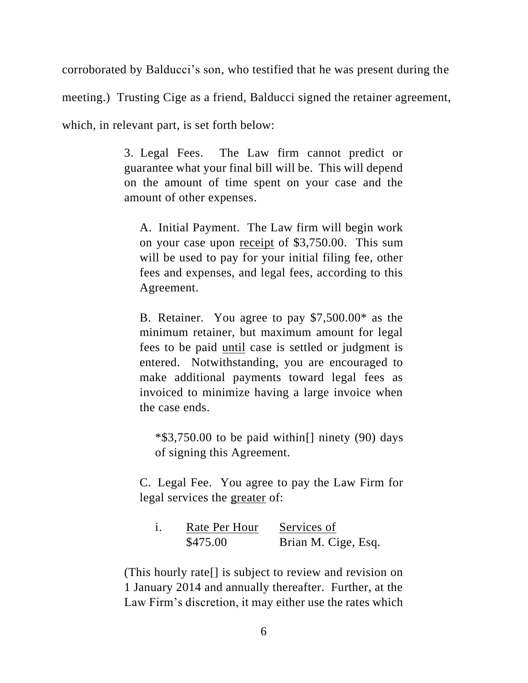corroborated by Balducci's son, who testified that he was present during the meeting.) Trusting Cige as a friend, Balducci signed the retainer agreement, which, in relevant part, is set forth below:

> 3. Legal Fees. The Law firm cannot predict or guarantee what your final bill will be. This will depend on the amount of time spent on your case and the amount of other expenses.

A. Initial Payment. The Law firm will begin work on your case upon receipt of \$3,750.00. This sum will be used to pay for your initial filing fee, other fees and expenses, and legal fees, according to this Agreement.

B. Retainer. You agree to pay \$7,500.00\* as the minimum retainer, but maximum amount for legal fees to be paid until case is settled or judgment is entered. Notwithstanding, you are encouraged to make additional payments toward legal fees as invoiced to minimize having a large invoice when the case ends.

 $*$ \$3,750.00 to be paid within<sup>[]</sup> ninety (90) days of signing this Agreement.

C. Legal Fee. You agree to pay the Law Firm for legal services the greater of:

| Rate Per Hour | Services of         |
|---------------|---------------------|
| \$475.00      | Brian M. Cige, Esq. |

(This hourly rate[] is subject to review and revision on 1 January 2014 and annually thereafter. Further, at the Law Firm's discretion, it may either use the rates which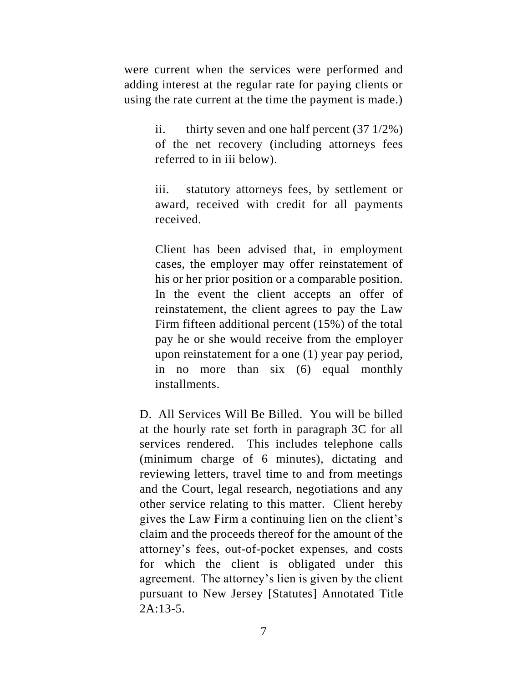were current when the services were performed and adding interest at the regular rate for paying clients or using the rate current at the time the payment is made.)

> ii. thirty seven and one half percent  $(37 \frac{1}{2\%})$ of the net recovery (including attorneys fees referred to in iii below).

> iii. statutory attorneys fees, by settlement or award, received with credit for all payments received.

> Client has been advised that, in employment cases, the employer may offer reinstatement of his or her prior position or a comparable position. In the event the client accepts an offer of reinstatement, the client agrees to pay the Law Firm fifteen additional percent (15%) of the total pay he or she would receive from the employer upon reinstatement for a one (1) year pay period, in no more than six (6) equal monthly installments.

D. All Services Will Be Billed. You will be billed at the hourly rate set forth in paragraph 3C for all services rendered. This includes telephone calls (minimum charge of 6 minutes), dictating and reviewing letters, travel time to and from meetings and the Court, legal research, negotiations and any other service relating to this matter. Client hereby gives the Law Firm a continuing lien on the client's claim and the proceeds thereof for the amount of the attorney's fees, out-of-pocket expenses, and costs for which the client is obligated under this agreement. The attorney's lien is given by the client pursuant to New Jersey [Statutes] Annotated Title  $2A.13-5$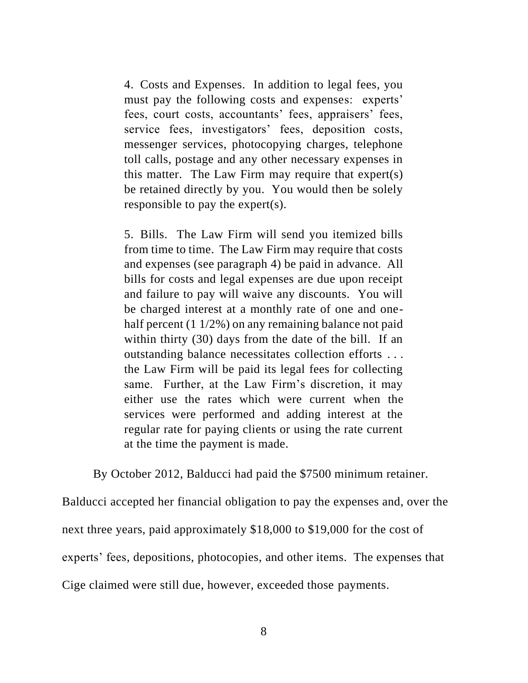4. Costs and Expenses. In addition to legal fees, you must pay the following costs and expenses: experts' fees, court costs, accountants' fees, appraisers' fees, service fees, investigators' fees, deposition costs, messenger services, photocopying charges, telephone toll calls, postage and any other necessary expenses in this matter. The Law Firm may require that expert(s) be retained directly by you. You would then be solely responsible to pay the expert(s).

5. Bills. The Law Firm will send you itemized bills from time to time. The Law Firm may require that costs and expenses (see paragraph 4) be paid in advance. All bills for costs and legal expenses are due upon receipt and failure to pay will waive any discounts. You will be charged interest at a monthly rate of one and onehalf percent (1 1/2%) on any remaining balance not paid within thirty (30) days from the date of the bill. If an outstanding balance necessitates collection efforts . . . the Law Firm will be paid its legal fees for collecting same. Further, at the Law Firm's discretion, it may either use the rates which were current when the services were performed and adding interest at the regular rate for paying clients or using the rate current at the time the payment is made.

By October 2012, Balducci had paid the \$7500 minimum retainer.

Balducci accepted her financial obligation to pay the expenses and, over the

next three years, paid approximately \$18,000 to \$19,000 for the cost of

experts' fees, depositions, photocopies, and other items. The expenses that

Cige claimed were still due, however, exceeded those payments.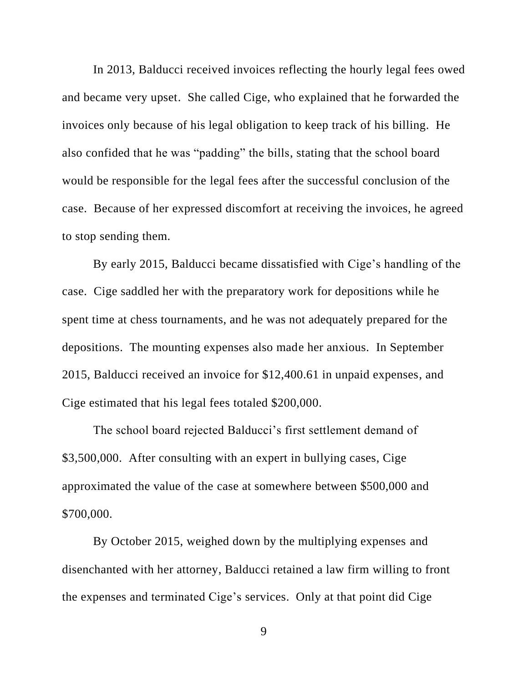In 2013, Balducci received invoices reflecting the hourly legal fees owed and became very upset. She called Cige, who explained that he forwarded the invoices only because of his legal obligation to keep track of his billing. He also confided that he was "padding" the bills, stating that the school board would be responsible for the legal fees after the successful conclusion of the case. Because of her expressed discomfort at receiving the invoices, he agreed to stop sending them.

By early 2015, Balducci became dissatisfied with Cige's handling of the case. Cige saddled her with the preparatory work for depositions while he spent time at chess tournaments, and he was not adequately prepared for the depositions. The mounting expenses also made her anxious. In September 2015, Balducci received an invoice for \$12,400.61 in unpaid expenses, and Cige estimated that his legal fees totaled \$200,000.

The school board rejected Balducci's first settlement demand of \$3,500,000. After consulting with an expert in bullying cases, Cige approximated the value of the case at somewhere between \$500,000 and \$700,000.

By October 2015, weighed down by the multiplying expenses and disenchanted with her attorney, Balducci retained a law firm willing to front the expenses and terminated Cige's services. Only at that point did Cige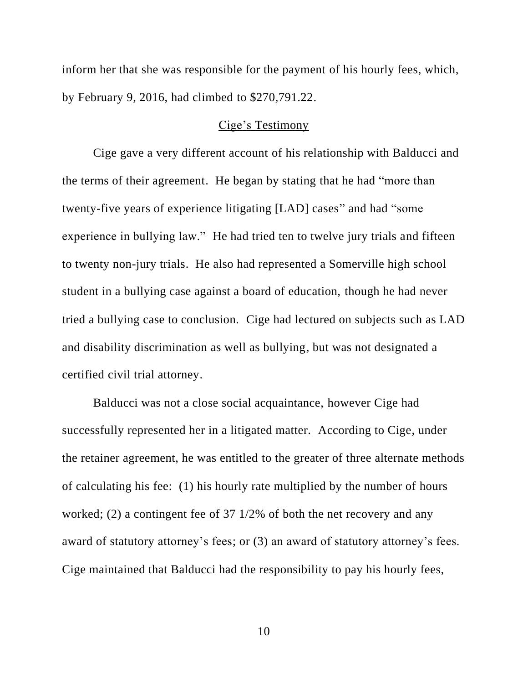inform her that she was responsible for the payment of his hourly fees, which, by February 9, 2016, had climbed to \$270,791.22.

### Cige's Testimony

Cige gave a very different account of his relationship with Balducci and the terms of their agreement. He began by stating that he had "more than twenty-five years of experience litigating [LAD] cases" and had "some experience in bullying law." He had tried ten to twelve jury trials and fifteen to twenty non-jury trials. He also had represented a Somerville high school student in a bullying case against a board of education, though he had never tried a bullying case to conclusion. Cige had lectured on subjects such as LAD and disability discrimination as well as bullying, but was not designated a certified civil trial attorney.

Balducci was not a close social acquaintance, however Cige had successfully represented her in a litigated matter. According to Cige, under the retainer agreement, he was entitled to the greater of three alternate methods of calculating his fee: (1) his hourly rate multiplied by the number of hours worked; (2) a contingent fee of 37 1/2% of both the net recovery and any award of statutory attorney's fees; or (3) an award of statutory attorney's fees. Cige maintained that Balducci had the responsibility to pay his hourly fees,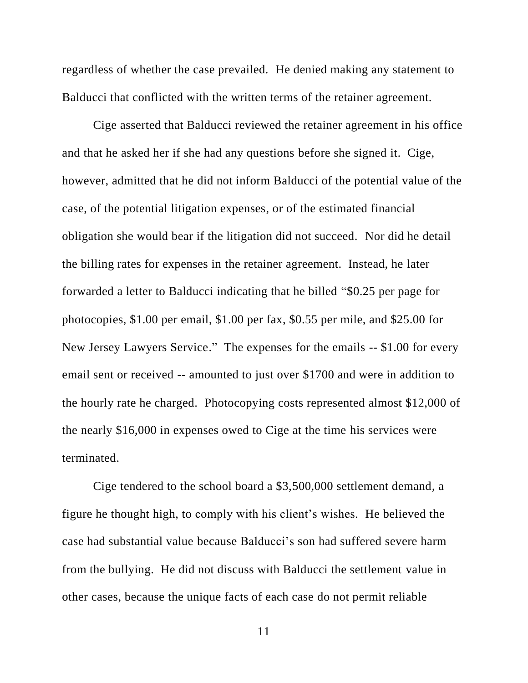regardless of whether the case prevailed. He denied making any statement to Balducci that conflicted with the written terms of the retainer agreement.

Cige asserted that Balducci reviewed the retainer agreement in his office and that he asked her if she had any questions before she signed it. Cige, however, admitted that he did not inform Balducci of the potential value of the case, of the potential litigation expenses, or of the estimated financial obligation she would bear if the litigation did not succeed. Nor did he detail the billing rates for expenses in the retainer agreement. Instead, he later forwarded a letter to Balducci indicating that he billed "\$0.25 per page for photocopies, \$1.00 per email, \$1.00 per fax, \$0.55 per mile, and \$25.00 for New Jersey Lawyers Service." The expenses for the emails -- \$1.00 for every email sent or received -- amounted to just over \$1700 and were in addition to the hourly rate he charged. Photocopying costs represented almost \$12,000 of the nearly \$16,000 in expenses owed to Cige at the time his services were terminated.

Cige tendered to the school board a \$3,500,000 settlement demand, a figure he thought high, to comply with his client's wishes. He believed the case had substantial value because Balducci's son had suffered severe harm from the bullying. He did not discuss with Balducci the settlement value in other cases, because the unique facts of each case do not permit reliable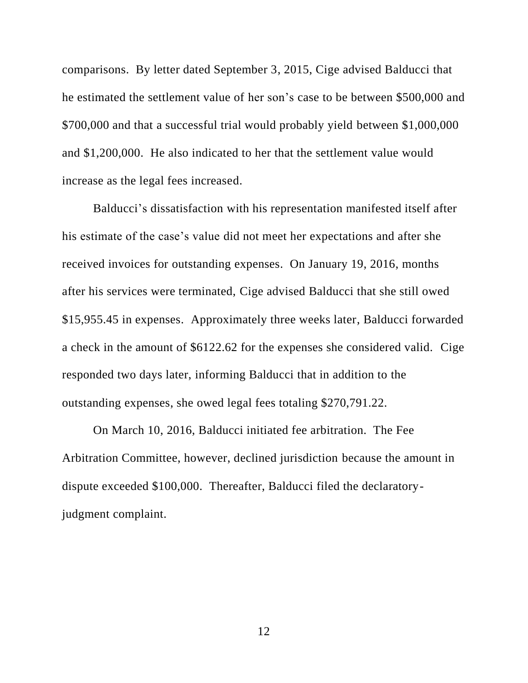comparisons. By letter dated September 3, 2015, Cige advised Balducci that he estimated the settlement value of her son's case to be between \$500,000 and \$700,000 and that a successful trial would probably yield between \$1,000,000 and \$1,200,000. He also indicated to her that the settlement value would increase as the legal fees increased.

Balducci's dissatisfaction with his representation manifested itself after his estimate of the case's value did not meet her expectations and after she received invoices for outstanding expenses. On January 19, 2016, months after his services were terminated, Cige advised Balducci that she still owed \$15,955.45 in expenses. Approximately three weeks later, Balducci forwarded a check in the amount of \$6122.62 for the expenses she considered valid. Cige responded two days later, informing Balducci that in addition to the outstanding expenses, she owed legal fees totaling \$270,791.22.

On March 10, 2016, Balducci initiated fee arbitration. The Fee Arbitration Committee, however, declined jurisdiction because the amount in dispute exceeded \$100,000. Thereafter, Balducci filed the declaratoryjudgment complaint.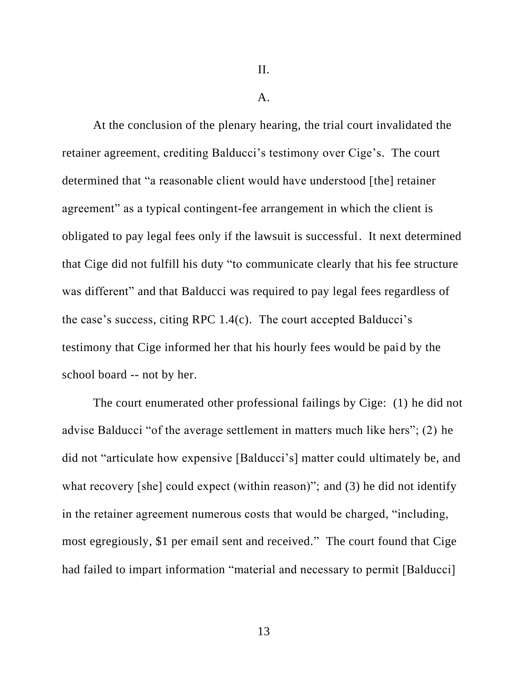$\mathbf{A}$ .

At the conclusion of the plenary hearing, the trial court invalidated the retainer agreement, crediting Balducci's testimony over Cige's. The court determined that "a reasonable client would have understood [the] retainer agreement" as a typical contingent-fee arrangement in which the client is obligated to pay legal fees only if the lawsuit is successful. It next determined that Cige did not fulfill his duty "to communicate clearly that his fee structure was different" and that Balducci was required to pay legal fees regardless of the case's success, citing RPC 1.4(c). The court accepted Balducci's testimony that Cige informed her that his hourly fees would be paid by the school board -- not by her.

The court enumerated other professional failings by Cige: (1) he did not advise Balducci "of the average settlement in matters much like hers"; (2) he did not "articulate how expensive [Balducci's] matter could ultimately be, and what recovery [she] could expect (within reason)"; and (3) he did not identify in the retainer agreement numerous costs that would be charged, "including, most egregiously, \$1 per email sent and received." The court found that Cige had failed to impart information "material and necessary to permit [Balducci]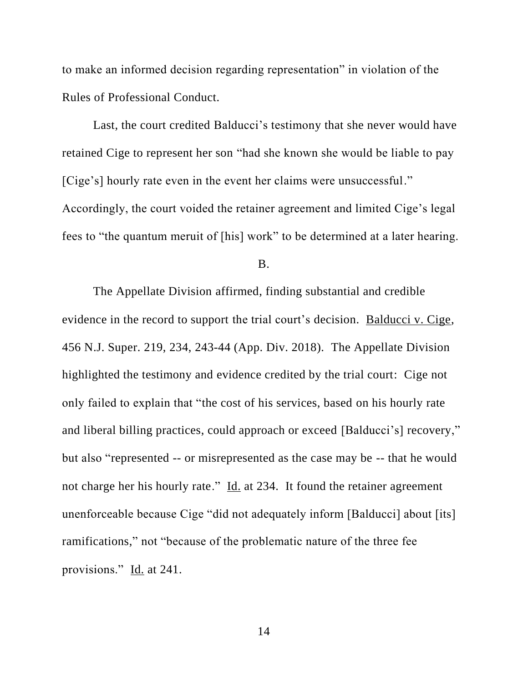to make an informed decision regarding representation" in violation of the Rules of Professional Conduct.

Last, the court credited Balducci's testimony that she never would have retained Cige to represent her son "had she known she would be liable to pay [Cige's] hourly rate even in the event her claims were unsuccessful." Accordingly, the court voided the retainer agreement and limited Cige's legal fees to "the quantum meruit of [his] work" to be determined at a later hearing.

B.

The Appellate Division affirmed, finding substantial and credible evidence in the record to support the trial court's decision. Balducci v. Cige, 456 N.J. Super. 219, 234, 243-44 (App. Div. 2018). The Appellate Division highlighted the testimony and evidence credited by the trial court: Cige not only failed to explain that "the cost of his services, based on his hourly rate and liberal billing practices, could approach or exceed [Balducci's] recovery," but also "represented -- or misrepresented as the case may be -- that he would not charge her his hourly rate." Id. at 234. It found the retainer agreement unenforceable because Cige "did not adequately inform [Balducci] about [its] ramifications," not "because of the problematic nature of the three fee provisions." Id. at 241.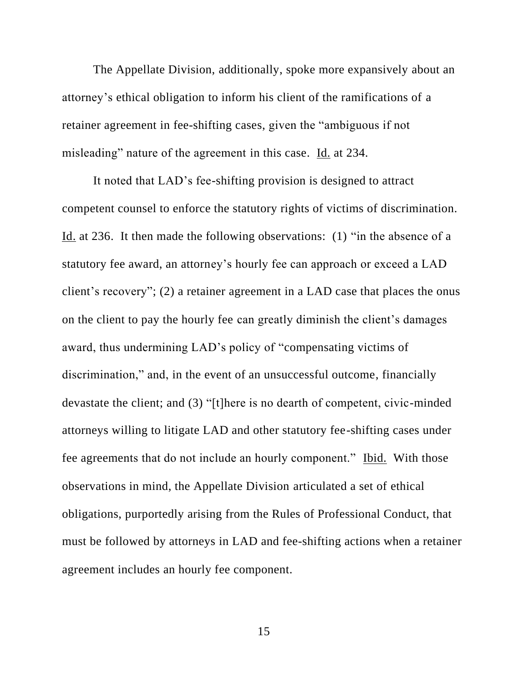The Appellate Division, additionally, spoke more expansively about an attorney's ethical obligation to inform his client of the ramifications of a retainer agreement in fee-shifting cases, given the "ambiguous if not misleading" nature of the agreement in this case. Id. at 234.

It noted that LAD's fee-shifting provision is designed to attract competent counsel to enforce the statutory rights of victims of discrimination. Id. at 236. It then made the following observations: (1) "in the absence of a statutory fee award, an attorney's hourly fee can approach or exceed a LAD client's recovery"; (2) a retainer agreement in a LAD case that places the onus on the client to pay the hourly fee can greatly diminish the client's damages award, thus undermining LAD's policy of "compensating victims of discrimination," and, in the event of an unsuccessful outcome, financially devastate the client; and (3) "[t]here is no dearth of competent, civic-minded attorneys willing to litigate LAD and other statutory fee-shifting cases under fee agreements that do not include an hourly component." Ibid. With those observations in mind, the Appellate Division articulated a set of ethical obligations, purportedly arising from the Rules of Professional Conduct, that must be followed by attorneys in LAD and fee-shifting actions when a retainer agreement includes an hourly fee component.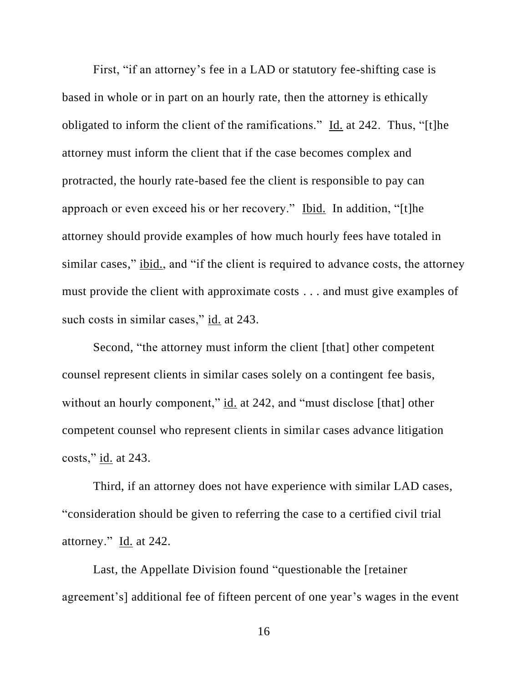First, "if an attorney's fee in a LAD or statutory fee-shifting case is based in whole or in part on an hourly rate, then the attorney is ethically obligated to inform the client of the ramifications." Id. at 242. Thus, "[t]he attorney must inform the client that if the case becomes complex and protracted, the hourly rate-based fee the client is responsible to pay can approach or even exceed his or her recovery." Ibid. In addition, "[t]he attorney should provide examples of how much hourly fees have totaled in similar cases," ibid., and "if the client is required to advance costs, the attorney must provide the client with approximate costs . . . and must give examples of such costs in similar cases," id. at 243.

Second, "the attorney must inform the client [that] other competent counsel represent clients in similar cases solely on a contingent fee basis, without an hourly component," id. at 242, and "must disclose [that] other competent counsel who represent clients in similar cases advance litigation costs," id. at 243.

Third, if an attorney does not have experience with similar LAD cases, "consideration should be given to referring the case to a certified civil trial attorney." Id. at 242.

Last, the Appellate Division found "questionable the [retainer agreement's] additional fee of fifteen percent of one year's wages in the event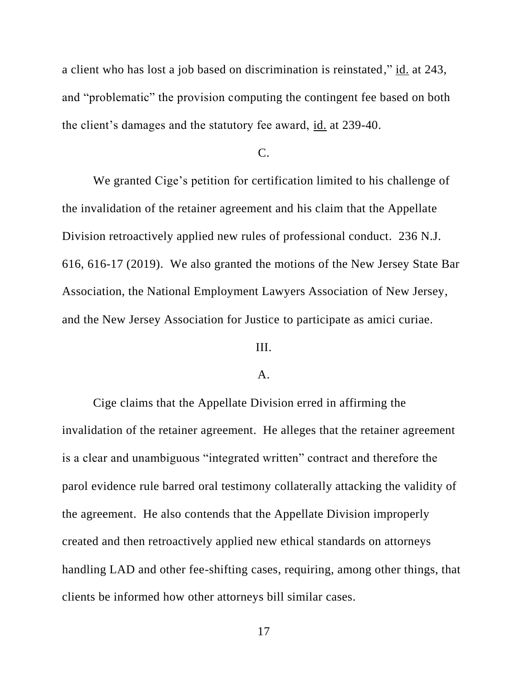a client who has lost a job based on discrimination is reinstated," id. at 243, and "problematic" the provision computing the contingent fee based on both the client's damages and the statutory fee award, id. at 239-40.

### $\overline{C}$ .

We granted Cige's petition for certification limited to his challenge of the invalidation of the retainer agreement and his claim that the Appellate Division retroactively applied new rules of professional conduct. 236 N.J. 616, 616-17 (2019). We also granted the motions of the New Jersey State Bar Association, the National Employment Lawyers Association of New Jersey, and the New Jersey Association for Justice to participate as amici curiae.

# III.

#### A.

Cige claims that the Appellate Division erred in affirming the invalidation of the retainer agreement. He alleges that the retainer agreement is a clear and unambiguous "integrated written" contract and therefore the parol evidence rule barred oral testimony collaterally attacking the validity of the agreement. He also contends that the Appellate Division improperly created and then retroactively applied new ethical standards on attorneys handling LAD and other fee-shifting cases, requiring, among other things, that clients be informed how other attorneys bill similar cases.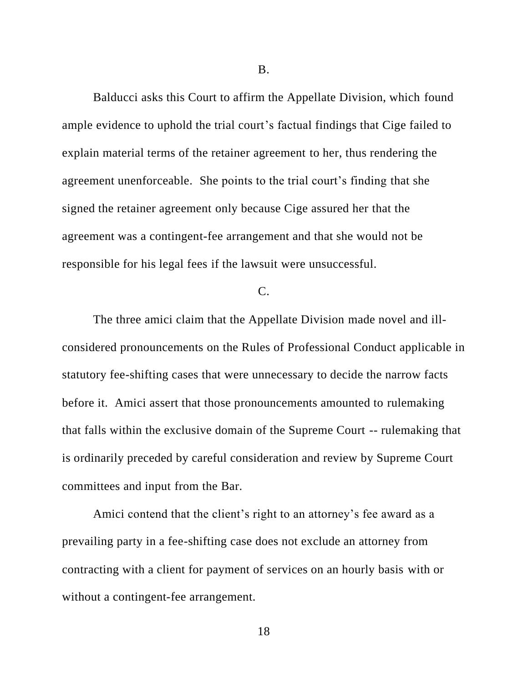Balducci asks this Court to affirm the Appellate Division, which found ample evidence to uphold the trial court's factual findings that Cige failed to explain material terms of the retainer agreement to her, thus rendering the agreement unenforceable. She points to the trial court's finding that she signed the retainer agreement only because Cige assured her that the agreement was a contingent-fee arrangement and that she would not be responsible for his legal fees if the lawsuit were unsuccessful.

## C.

The three amici claim that the Appellate Division made novel and illconsidered pronouncements on the Rules of Professional Conduct applicable in statutory fee-shifting cases that were unnecessary to decide the narrow facts before it. Amici assert that those pronouncements amounted to rulemaking that falls within the exclusive domain of the Supreme Court -- rulemaking that is ordinarily preceded by careful consideration and review by Supreme Court committees and input from the Bar.

Amici contend that the client's right to an attorney's fee award as a prevailing party in a fee-shifting case does not exclude an attorney from contracting with a client for payment of services on an hourly basis with or without a contingent-fee arrangement.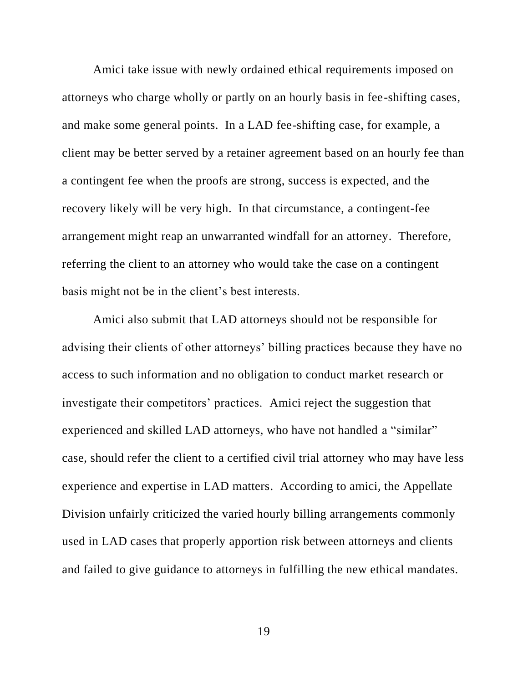Amici take issue with newly ordained ethical requirements imposed on attorneys who charge wholly or partly on an hourly basis in fee-shifting cases, and make some general points. In a LAD fee-shifting case, for example, a client may be better served by a retainer agreement based on an hourly fee than a contingent fee when the proofs are strong, success is expected, and the recovery likely will be very high. In that circumstance, a contingent-fee arrangement might reap an unwarranted windfall for an attorney. Therefore, referring the client to an attorney who would take the case on a contingent basis might not be in the client's best interests.

Amici also submit that LAD attorneys should not be responsible for advising their clients of other attorneys' billing practices because they have no access to such information and no obligation to conduct market research or investigate their competitors' practices. Amici reject the suggestion that experienced and skilled LAD attorneys, who have not handled a "similar" case, should refer the client to a certified civil trial attorney who may have less experience and expertise in LAD matters. According to amici, the Appellate Division unfairly criticized the varied hourly billing arrangements commonly used in LAD cases that properly apportion risk between attorneys and clients and failed to give guidance to attorneys in fulfilling the new ethical mandates.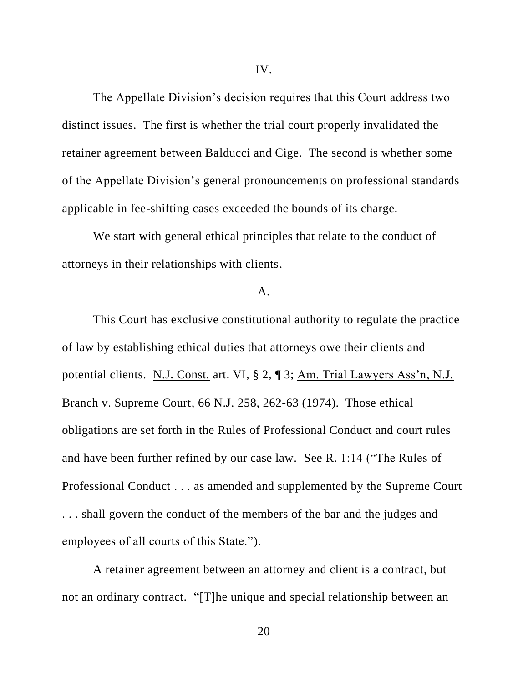The Appellate Division's decision requires that this Court address two distinct issues. The first is whether the trial court properly invalidated the retainer agreement between Balducci and Cige. The second is whether some of the Appellate Division's general pronouncements on professional standards applicable in fee-shifting cases exceeded the bounds of its charge.

We start with general ethical principles that relate to the conduct of attorneys in their relationships with clients.

### A.

This Court has exclusive constitutional authority to regulate the practice of law by establishing ethical duties that attorneys owe their clients and potential clients. N.J. Const. art. VI, § 2, ¶ 3; Am. Trial Lawyers Ass'n, N.J. Branch v. Supreme Court, 66 N.J. 258, 262-63 (1974). Those ethical obligations are set forth in the Rules of Professional Conduct and court rules and have been further refined by our case law. See R. 1:14 ("The Rules of Professional Conduct . . . as amended and supplemented by the Supreme Court . . . shall govern the conduct of the members of the bar and the judges and employees of all courts of this State.").

A retainer agreement between an attorney and client is a contract, but not an ordinary contract. "[T]he unique and special relationship between an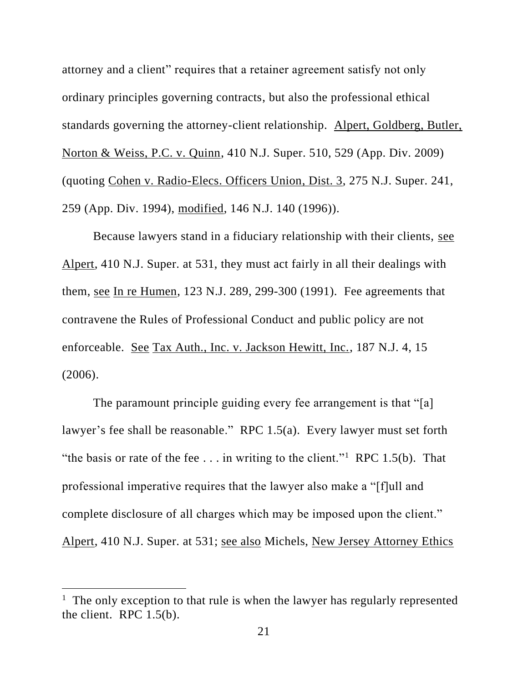attorney and a client" requires that a retainer agreement satisfy not only ordinary principles governing contracts, but also the professional ethical standards governing the attorney-client relationship. Alpert, Goldberg, Butler, Norton & Weiss, P.C. v. Quinn, 410 N.J. Super. 510, 529 (App. Div. 2009) (quoting Cohen v. Radio-Elecs. Officers Union, Dist. 3, 275 N.J. Super. 241, 259 (App. Div. 1994), modified, 146 N.J. 140 (1996)).

Because lawyers stand in a fiduciary relationship with their clients, see Alpert, 410 N.J. Super. at 531, they must act fairly in all their dealings with them, see In re Humen, 123 N.J. 289, 299-300 (1991). Fee agreements that contravene the Rules of Professional Conduct and public policy are not enforceable. See Tax Auth., Inc. v. Jackson Hewitt, Inc., 187 N.J. 4, 15 (2006).

The paramount principle guiding every fee arrangement is that "[a] lawyer's fee shall be reasonable." RPC 1.5(a). Every lawyer must set forth "the basis or rate of the fee  $\dots$  in writing to the client."<sup>1</sup> RPC 1.5(b). That professional imperative requires that the lawyer also make a "[f]ull and complete disclosure of all charges which may be imposed upon the client." Alpert, 410 N.J. Super. at 531; see also Michels, New Jersey Attorney Ethics

<sup>&</sup>lt;sup>1</sup> The only exception to that rule is when the lawyer has regularly represented the client. RPC 1.5(b).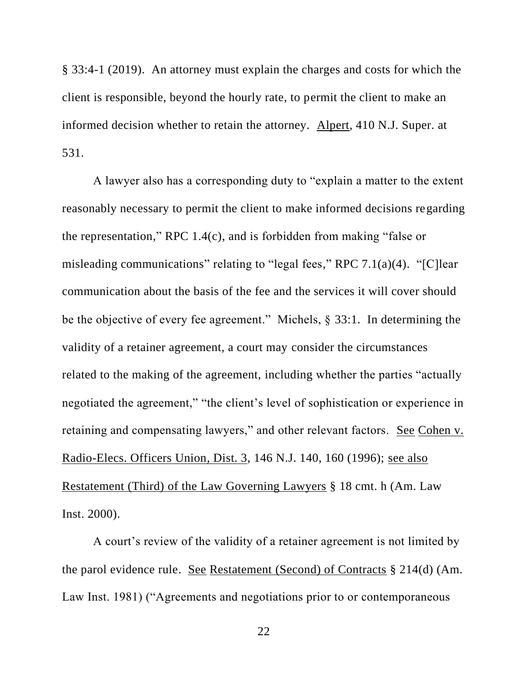§ 33:4-1 (2019). An attorney must explain the charges and costs for which the client is responsible, beyond the hourly rate, to permit the client to make an informed decision whether to retain the attorney. Alpert, 410 N.J. Super. at 531.

A lawyer also has a corresponding duty to "explain a matter to the extent reasonably necessary to permit the client to make informed decisions regarding the representation," RPC 1.4(c), and is forbidden from making "false or misleading communications" relating to "legal fees," RPC 7.1(a)(4). "[C]lear communication about the basis of the fee and the services it will cover should be the objective of every fee agreement." Michels, § 33:1. In determining the validity of a retainer agreement, a court may consider the circumstances related to the making of the agreement, including whether the parties "actually negotiated the agreement," "the client's level of sophistication or experience in retaining and compensating lawyers," and other relevant factors. See Cohen v. Radio-Elecs. Officers Union, Dist. 3, 146 N.J. 140, 160 (1996); see also Restatement (Third) of the Law Governing Lawyers § 18 cmt. h (Am. Law Inst. 2000).

A court's review of the validity of a retainer agreement is not limited by the parol evidence rule. See Restatement (Second) of Contracts § 214(d) (Am. Law Inst. 1981) ("Agreements and negotiations prior to or contemporaneous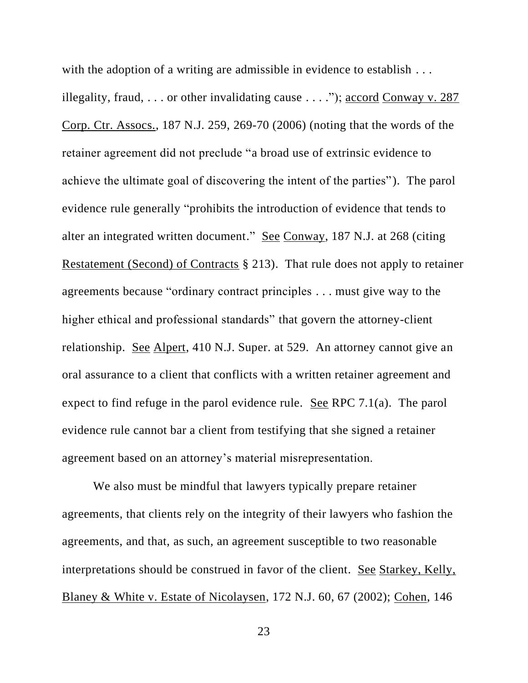with the adoption of a writing are admissible in evidence to establish ... illegality, fraud, . . . or other invalidating cause . . . ."); accord Conway v. 287 Corp. Ctr. Assocs., 187 N.J. 259, 269-70 (2006) (noting that the words of the retainer agreement did not preclude "a broad use of extrinsic evidence to achieve the ultimate goal of discovering the intent of the parties"). The parol evidence rule generally "prohibits the introduction of evidence that tends to alter an integrated written document." See Conway, 187 N.J. at 268 (citing Restatement (Second) of Contracts § 213). That rule does not apply to retainer agreements because "ordinary contract principles . . . must give way to the higher ethical and professional standards" that govern the attorney-client relationship. See Alpert, 410 N.J. Super. at 529. An attorney cannot give an oral assurance to a client that conflicts with a written retainer agreement and expect to find refuge in the parol evidence rule. See RPC 7.1(a). The parol evidence rule cannot bar a client from testifying that she signed a retainer agreement based on an attorney's material misrepresentation.

We also must be mindful that lawyers typically prepare retainer agreements, that clients rely on the integrity of their lawyers who fashion the agreements, and that, as such, an agreement susceptible to two reasonable interpretations should be construed in favor of the client. See Starkey, Kelly, Blaney & White v. Estate of Nicolaysen, 172 N.J. 60, 67 (2002); Cohen, 146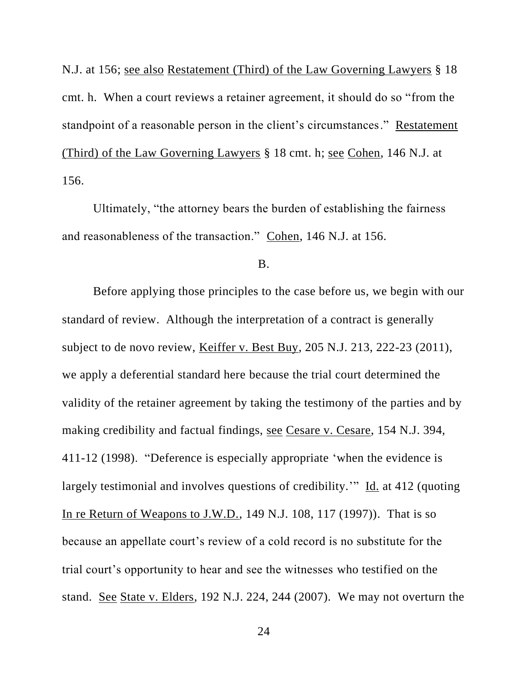N.J. at 156; see also Restatement (Third) of the Law Governing Lawyers § 18 cmt. h. When a court reviews a retainer agreement, it should do so "from the standpoint of a reasonable person in the client's circumstances." Restatement (Third) of the Law Governing Lawyers § 18 cmt. h; <u>see Cohen</u>, 146 N.J. at 156.

Ultimately, "the attorney bears the burden of establishing the fairness and reasonableness of the transaction." Cohen, 146 N.J. at 156.

#### B.

Before applying those principles to the case before us, we begin with our standard of review. Although the interpretation of a contract is generally subject to de novo review, Keiffer v. Best Buy, 205 N.J. 213, 222-23 (2011), we apply a deferential standard here because the trial court determined the validity of the retainer agreement by taking the testimony of the parties and by making credibility and factual findings, see Cesare v. Cesare, 154 N.J. 394, 411-12 (1998). "Deference is especially appropriate 'when the evidence is largely testimonial and involves questions of credibility.'" Id. at 412 (quoting In re Return of Weapons to J.W.D., 149 N.J. 108, 117 (1997)). That is so because an appellate court's review of a cold record is no substitute for the trial court's opportunity to hear and see the witnesses who testified on the stand. See State v. Elders, 192 N.J. 224, 244 (2007). We may not overturn the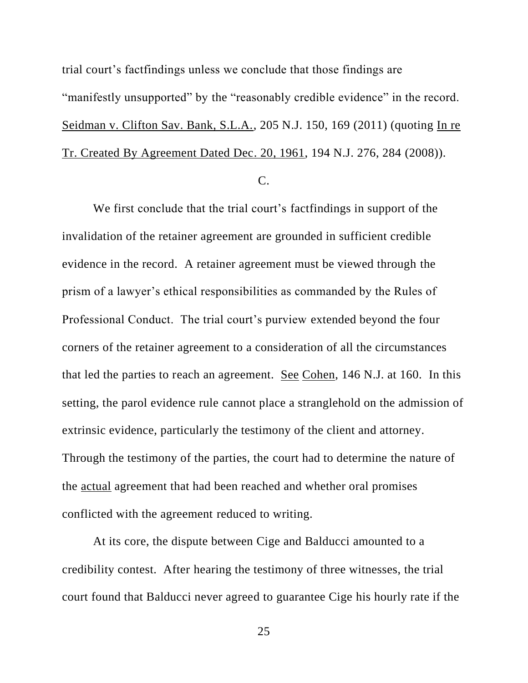trial court's factfindings unless we conclude that those findings are "manifestly unsupported" by the "reasonably credible evidence" in the record. Seidman v. Clifton Sav. Bank, S.L.A., 205 N.J. 150, 169 (2011) (quoting In re Tr. Created By Agreement Dated Dec. 20, 1961, 194 N.J. 276, 284 (2008)).

C.

We first conclude that the trial court's factfindings in support of the invalidation of the retainer agreement are grounded in sufficient credible evidence in the record. A retainer agreement must be viewed through the prism of a lawyer's ethical responsibilities as commanded by the Rules of Professional Conduct. The trial court's purview extended beyond the four corners of the retainer agreement to a consideration of all the circumstances that led the parties to reach an agreement. See Cohen, 146 N.J. at 160. In this setting, the parol evidence rule cannot place a stranglehold on the admission of extrinsic evidence, particularly the testimony of the client and attorney. Through the testimony of the parties, the court had to determine the nature of the actual agreement that had been reached and whether oral promises conflicted with the agreement reduced to writing.

At its core, the dispute between Cige and Balducci amounted to a credibility contest. After hearing the testimony of three witnesses, the trial court found that Balducci never agreed to guarantee Cige his hourly rate if the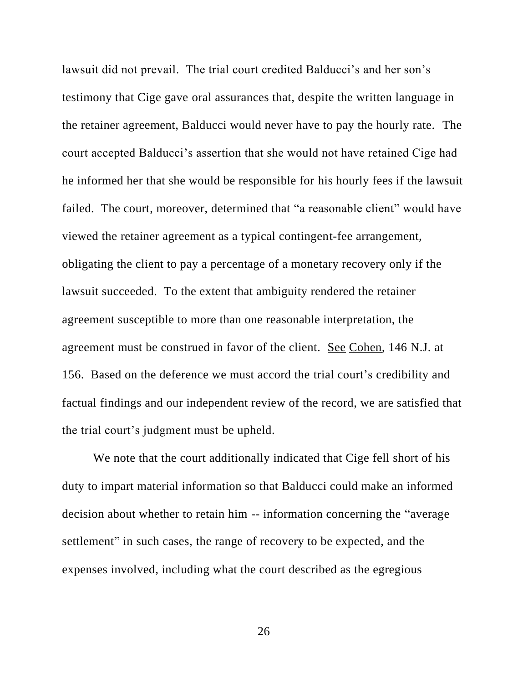lawsuit did not prevail. The trial court credited Balducci's and her son's testimony that Cige gave oral assurances that, despite the written language in the retainer agreement, Balducci would never have to pay the hourly rate. The court accepted Balducci's assertion that she would not have retained Cige had he informed her that she would be responsible for his hourly fees if the lawsuit failed. The court, moreover, determined that "a reasonable client" would have viewed the retainer agreement as a typical contingent-fee arrangement, obligating the client to pay a percentage of a monetary recovery only if the lawsuit succeeded. To the extent that ambiguity rendered the retainer agreement susceptible to more than one reasonable interpretation, the agreement must be construed in favor of the client. See Cohen, 146 N.J. at 156. Based on the deference we must accord the trial court's credibility and factual findings and our independent review of the record, we are satisfied that the trial court's judgment must be upheld.

We note that the court additionally indicated that Cige fell short of his duty to impart material information so that Balducci could make an informed decision about whether to retain him -- information concerning the "average settlement" in such cases, the range of recovery to be expected, and the expenses involved, including what the court described as the egregious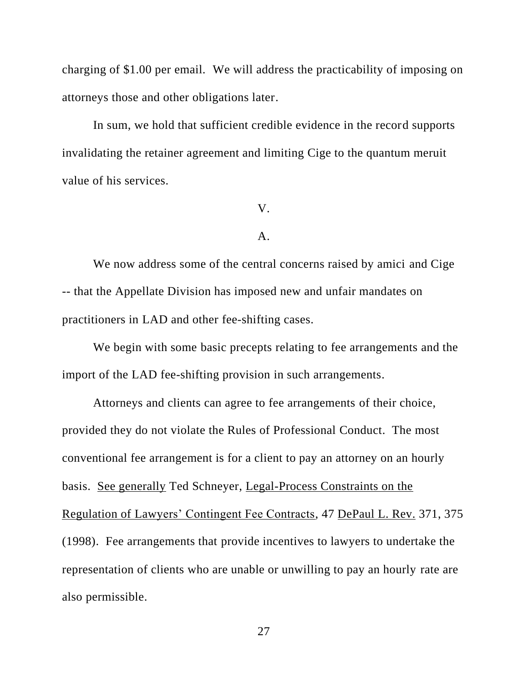charging of \$1.00 per email. We will address the practicability of imposing on attorneys those and other obligations later.

In sum, we hold that sufficient credible evidence in the record supports invalidating the retainer agreement and limiting Cige to the quantum meruit value of his services.

#### V.

#### A.

We now address some of the central concerns raised by amici and Cige -- that the Appellate Division has imposed new and unfair mandates on practitioners in LAD and other fee-shifting cases.

We begin with some basic precepts relating to fee arrangements and the import of the LAD fee-shifting provision in such arrangements.

Attorneys and clients can agree to fee arrangements of their choice, provided they do not violate the Rules of Professional Conduct. The most conventional fee arrangement is for a client to pay an attorney on an hourly basis. See generally Ted Schneyer, Legal-Process Constraints on the Regulation of Lawyers' Contingent Fee Contracts, 47 DePaul L. Rev. 371, 375 (1998). Fee arrangements that provide incentives to lawyers to undertake the representation of clients who are unable or unwilling to pay an hourly rate are also permissible.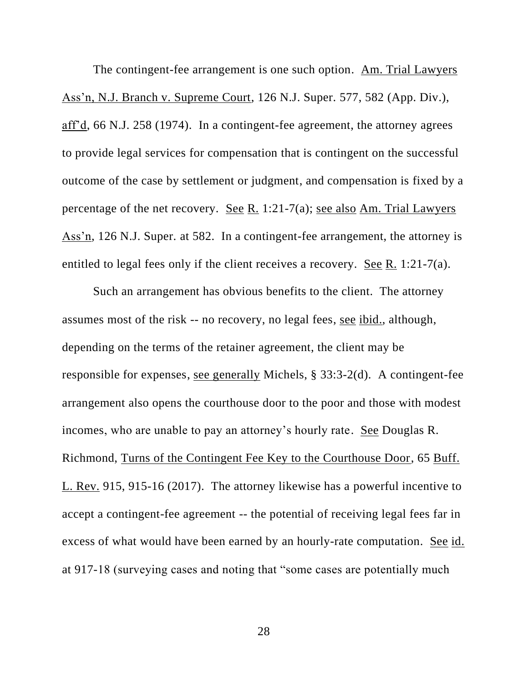The contingent-fee arrangement is one such option. Am. Trial Lawyers Ass'n, N.J. Branch v. Supreme Court, 126 N.J. Super. 577, 582 (App. Div.), aff'd, 66 N.J. 258 (1974). In a contingent-fee agreement, the attorney agrees to provide legal services for compensation that is contingent on the successful outcome of the case by settlement or judgment, and compensation is fixed by a percentage of the net recovery. See R. 1:21-7(a); see also Am. Trial Lawyers Ass'n, 126 N.J. Super. at 582. In a contingent-fee arrangement, the attorney is entitled to legal fees only if the client receives a recovery. See R. 1:21-7(a).

Such an arrangement has obvious benefits to the client. The attorney assumes most of the risk -- no recovery, no legal fees, see ibid., although, depending on the terms of the retainer agreement, the client may be responsible for expenses, see generally Michels, § 33:3-2(d). A contingent-fee arrangement also opens the courthouse door to the poor and those with modest incomes, who are unable to pay an attorney's hourly rate. See Douglas R. Richmond, Turns of the Contingent Fee Key to the Courthouse Door, 65 Buff. L. Rev. 915, 915-16 (2017). The attorney likewise has a powerful incentive to accept a contingent-fee agreement -- the potential of receiving legal fees far in excess of what would have been earned by an hourly-rate computation. See id. at 917-18 (surveying cases and noting that "some cases are potentially much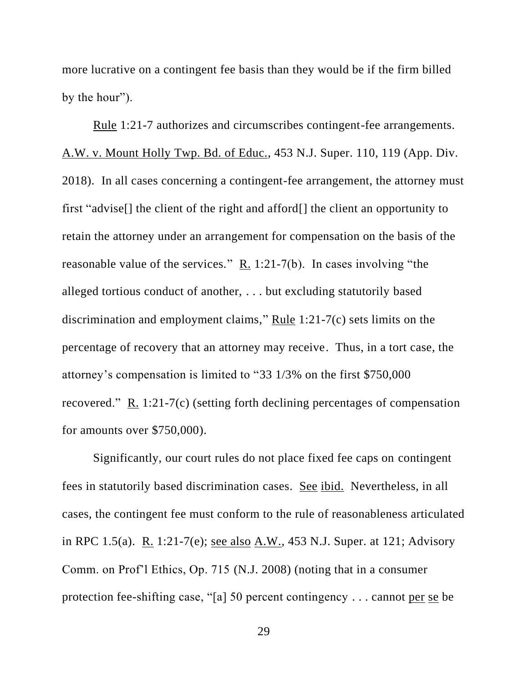more lucrative on a contingent fee basis than they would be if the firm billed by the hour").

Rule 1:21-7 authorizes and circumscribes contingent-fee arrangements. A.W. v. Mount Holly Twp. Bd. of Educ., 453 N.J. Super. 110, 119 (App. Div. 2018). In all cases concerning a contingent-fee arrangement, the attorney must first "advise[] the client of the right and afford[] the client an opportunity to retain the attorney under an arrangement for compensation on the basis of the reasonable value of the services." R. 1:21-7(b). In cases involving "the alleged tortious conduct of another, . . . but excluding statutorily based discrimination and employment claims," Rule 1:21-7(c) sets limits on the percentage of recovery that an attorney may receive. Thus, in a tort case, the attorney's compensation is limited to "33 1/3% on the first \$750,000 recovered." R. 1:21-7(c) (setting forth declining percentages of compensation for amounts over \$750,000).

Significantly, our court rules do not place fixed fee caps on contingent fees in statutorily based discrimination cases. See ibid. Nevertheless, in all cases, the contingent fee must conform to the rule of reasonableness articulated in RPC 1.5(a). R. 1:21-7(e); see also A.W., 453 N.J. Super. at 121; Advisory Comm. on Prof'l Ethics, Op. 715 (N.J. 2008) (noting that in a consumer protection fee-shifting case, "[a] 50 percent contingency . . . cannot per se be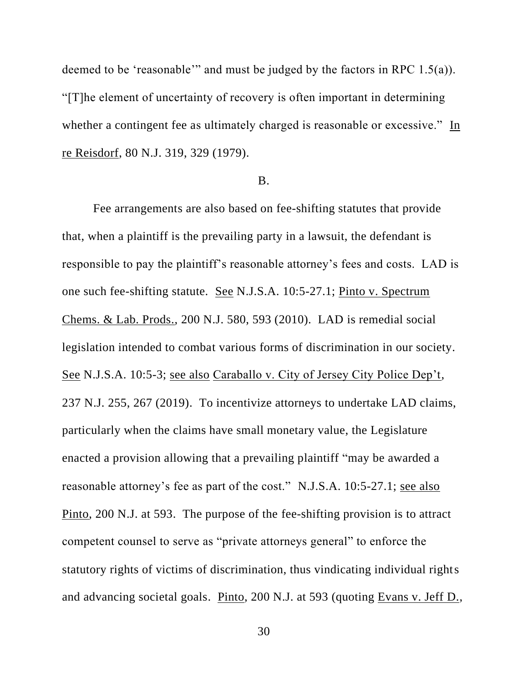deemed to be 'reasonable'" and must be judged by the factors in RPC 1.5(a)). "[T]he element of uncertainty of recovery is often important in determining whether a contingent fee as ultimately charged is reasonable or excessive." In re Reisdorf, 80 N.J. 319, 329 (1979).

#### B.

Fee arrangements are also based on fee-shifting statutes that provide that, when a plaintiff is the prevailing party in a lawsuit, the defendant is responsible to pay the plaintiff's reasonable attorney's fees and costs. LAD is one such fee-shifting statute. See N.J.S.A. 10:5-27.1; Pinto v. Spectrum Chems. & Lab. Prods., 200 N.J. 580, 593 (2010). LAD is remedial social legislation intended to combat various forms of discrimination in our society. See N.J.S.A. 10:5-3; see also Caraballo v. City of Jersey City Police Dep't, 237 N.J. 255, 267 (2019). To incentivize attorneys to undertake LAD claims, particularly when the claims have small monetary value, the Legislature enacted a provision allowing that a prevailing plaintiff "may be awarded a reasonable attorney's fee as part of the cost." N.J.S.A. 10:5-27.1; see also Pinto, 200 N.J. at 593. The purpose of the fee-shifting provision is to attract competent counsel to serve as "private attorneys general" to enforce the statutory rights of victims of discrimination, thus vindicating individual rights and advancing societal goals. Pinto, 200 N.J. at 593 (quoting Evans v. Jeff D.,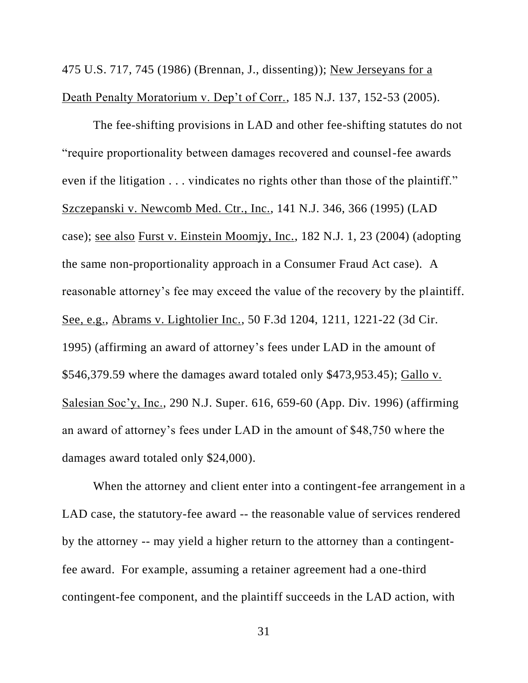475 U.S. 717, 745 (1986) (Brennan, J., dissenting)); New Jerseyans for a Death Penalty Moratorium v. Dep't of Corr., 185 N.J. 137, 152-53 (2005).

The fee-shifting provisions in LAD and other fee-shifting statutes do not "require proportionality between damages recovered and counsel-fee awards even if the litigation . . . vindicates no rights other than those of the plaintiff." Szczepanski v. Newcomb Med. Ctr., Inc., 141 N.J. 346, 366 (1995) (LAD case); see also Furst v. Einstein Moomjy, Inc., 182 N.J. 1, 23 (2004) (adopting the same non-proportionality approach in a Consumer Fraud Act case). A reasonable attorney's fee may exceed the value of the recovery by the plaintiff. See, e.g., Abrams v. Lightolier Inc., 50 F.3d 1204, 1211, 1221-22 (3d Cir. 1995) (affirming an award of attorney's fees under LAD in the amount of \$546,379.59 where the damages award totaled only \$473,953.45); Gallo v. Salesian Soc'y, Inc., 290 N.J. Super. 616, 659-60 (App. Div. 1996) (affirming an award of attorney's fees under LAD in the amount of \$48,750 where the damages award totaled only \$24,000).

When the attorney and client enter into a contingent-fee arrangement in a LAD case, the statutory-fee award -- the reasonable value of services rendered by the attorney -- may yield a higher return to the attorney than a contingentfee award. For example, assuming a retainer agreement had a one-third contingent-fee component, and the plaintiff succeeds in the LAD action, with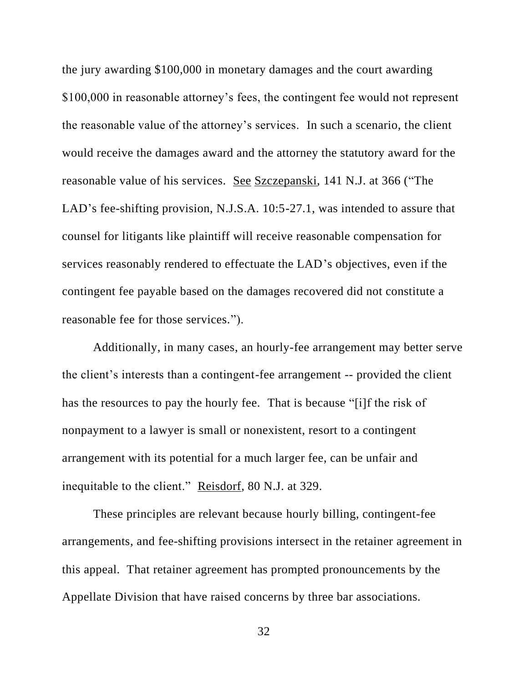the jury awarding \$100,000 in monetary damages and the court awarding \$100,000 in reasonable attorney's fees, the contingent fee would not represent the reasonable value of the attorney's services. In such a scenario, the client would receive the damages award and the attorney the statutory award for the reasonable value of his services. See Szczepanski, 141 N.J. at 366 ("The LAD's fee-shifting provision, N.J.S.A. 10:5-27.1, was intended to assure that counsel for litigants like plaintiff will receive reasonable compensation for services reasonably rendered to effectuate the LAD's objectives, even if the contingent fee payable based on the damages recovered did not constitute a reasonable fee for those services.").

Additionally, in many cases, an hourly-fee arrangement may better serve the client's interests than a contingent-fee arrangement -- provided the client has the resources to pay the hourly fee. That is because "[i]f the risk of nonpayment to a lawyer is small or nonexistent, resort to a contingent arrangement with its potential for a much larger fee, can be unfair and inequitable to the client." Reisdorf, 80 N.J. at 329.

These principles are relevant because hourly billing, contingent-fee arrangements, and fee-shifting provisions intersect in the retainer agreement in this appeal. That retainer agreement has prompted pronouncements by the Appellate Division that have raised concerns by three bar associations.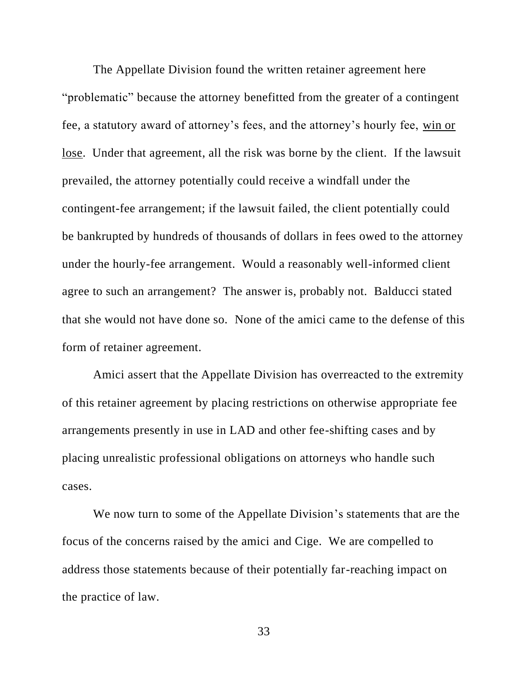The Appellate Division found the written retainer agreement here "problematic" because the attorney benefitted from the greater of a contingent fee, a statutory award of attorney's fees, and the attorney's hourly fee, win or lose. Under that agreement, all the risk was borne by the client. If the lawsuit prevailed, the attorney potentially could receive a windfall under the contingent-fee arrangement; if the lawsuit failed, the client potentially could be bankrupted by hundreds of thousands of dollars in fees owed to the attorney under the hourly-fee arrangement. Would a reasonably well-informed client agree to such an arrangement? The answer is, probably not. Balducci stated that she would not have done so. None of the amici came to the defense of this form of retainer agreement.

Amici assert that the Appellate Division has overreacted to the extremity of this retainer agreement by placing restrictions on otherwise appropriate fee arrangements presently in use in LAD and other fee-shifting cases and by placing unrealistic professional obligations on attorneys who handle such cases.

We now turn to some of the Appellate Division's statements that are the focus of the concerns raised by the amici and Cige. We are compelled to address those statements because of their potentially far-reaching impact on the practice of law.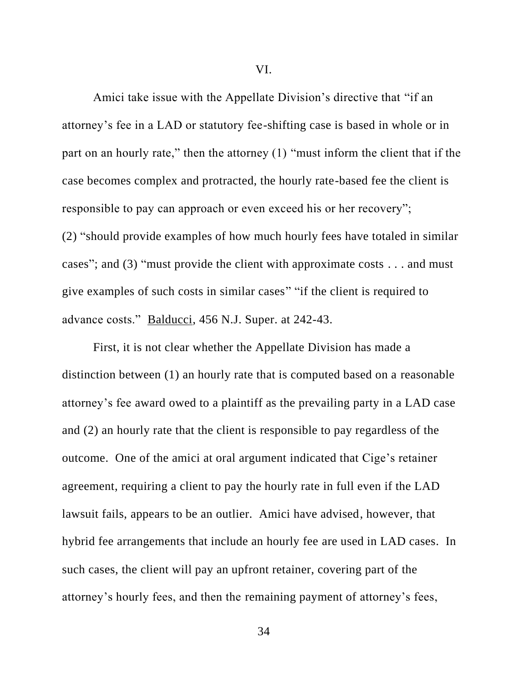Amici take issue with the Appellate Division's directive that "if an attorney's fee in a LAD or statutory fee-shifting case is based in whole or in part on an hourly rate," then the attorney (1) "must inform the client that if the case becomes complex and protracted, the hourly rate-based fee the client is responsible to pay can approach or even exceed his or her recovery"; (2) "should provide examples of how much hourly fees have totaled in similar cases"; and (3) "must provide the client with approximate costs . . . and must give examples of such costs in similar cases" "if the client is required to advance costs." Balducci, 456 N.J. Super. at 242-43.

First, it is not clear whether the Appellate Division has made a distinction between (1) an hourly rate that is computed based on a reasonable attorney's fee award owed to a plaintiff as the prevailing party in a LAD case and (2) an hourly rate that the client is responsible to pay regardless of the outcome. One of the amici at oral argument indicated that Cige's retainer agreement, requiring a client to pay the hourly rate in full even if the LAD lawsuit fails, appears to be an outlier. Amici have advised, however, that hybrid fee arrangements that include an hourly fee are used in LAD cases. In such cases, the client will pay an upfront retainer, covering part of the attorney's hourly fees, and then the remaining payment of attorney's fees,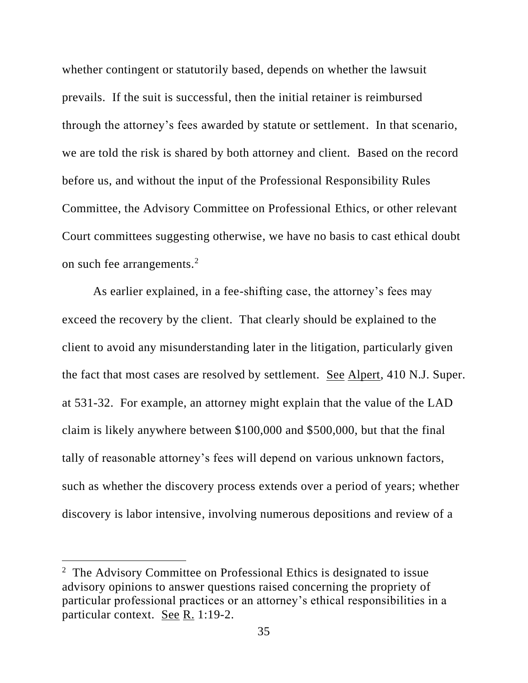whether contingent or statutorily based, depends on whether the lawsuit prevails. If the suit is successful, then the initial retainer is reimbursed through the attorney's fees awarded by statute or settlement. In that scenario, we are told the risk is shared by both attorney and client. Based on the record before us, and without the input of the Professional Responsibility Rules Committee, the Advisory Committee on Professional Ethics, or other relevant Court committees suggesting otherwise, we have no basis to cast ethical doubt on such fee arrangements.<sup>2</sup>

As earlier explained, in a fee-shifting case, the attorney's fees may exceed the recovery by the client. That clearly should be explained to the client to avoid any misunderstanding later in the litigation, particularly given the fact that most cases are resolved by settlement. See Alpert, 410 N.J. Super. at 531-32. For example, an attorney might explain that the value of the LAD claim is likely anywhere between \$100,000 and \$500,000, but that the final tally of reasonable attorney's fees will depend on various unknown factors, such as whether the discovery process extends over a period of years; whether discovery is labor intensive, involving numerous depositions and review of a

<sup>&</sup>lt;sup>2</sup> The Advisory Committee on Professional Ethics is designated to issue advisory opinions to answer questions raised concerning the propriety of particular professional practices or an attorney's ethical responsibilities in a particular context. See R. 1:19-2.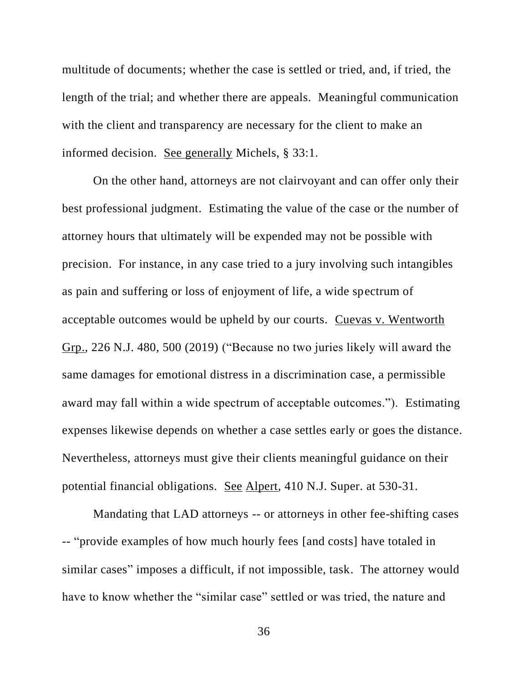multitude of documents; whether the case is settled or tried, and, if tried, the length of the trial; and whether there are appeals. Meaningful communication with the client and transparency are necessary for the client to make an informed decision. See generally Michels, § 33:1.

On the other hand, attorneys are not clairvoyant and can offer only their best professional judgment. Estimating the value of the case or the number of attorney hours that ultimately will be expended may not be possible with precision. For instance, in any case tried to a jury involving such intangibles as pain and suffering or loss of enjoyment of life, a wide spectrum of acceptable outcomes would be upheld by our courts. Cuevas v. Wentworth Grp., 226 N.J. 480, 500 (2019) ("Because no two juries likely will award the same damages for emotional distress in a discrimination case, a permissible award may fall within a wide spectrum of acceptable outcomes."). Estimating expenses likewise depends on whether a case settles early or goes the distance. Nevertheless, attorneys must give their clients meaningful guidance on their potential financial obligations. See Alpert, 410 N.J. Super. at 530-31.

Mandating that LAD attorneys -- or attorneys in other fee-shifting cases -- "provide examples of how much hourly fees [and costs] have totaled in similar cases" imposes a difficult, if not impossible, task. The attorney would have to know whether the "similar case" settled or was tried, the nature and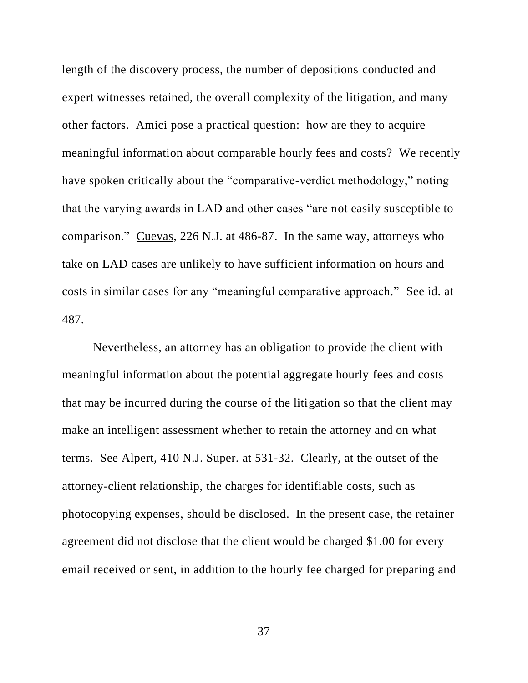length of the discovery process, the number of depositions conducted and expert witnesses retained, the overall complexity of the litigation, and many other factors. Amici pose a practical question: how are they to acquire meaningful information about comparable hourly fees and costs? We recently have spoken critically about the "comparative-verdict methodology," noting that the varying awards in LAD and other cases "are not easily susceptible to comparison." Cuevas, 226 N.J. at 486-87. In the same way, attorneys who take on LAD cases are unlikely to have sufficient information on hours and costs in similar cases for any "meaningful comparative approach." See id. at 487.

Nevertheless, an attorney has an obligation to provide the client with meaningful information about the potential aggregate hourly fees and costs that may be incurred during the course of the litigation so that the client may make an intelligent assessment whether to retain the attorney and on what terms. See Alpert, 410 N.J. Super. at 531-32. Clearly, at the outset of the attorney-client relationship, the charges for identifiable costs, such as photocopying expenses, should be disclosed. In the present case, the retainer agreement did not disclose that the client would be charged \$1.00 for every email received or sent, in addition to the hourly fee charged for preparing and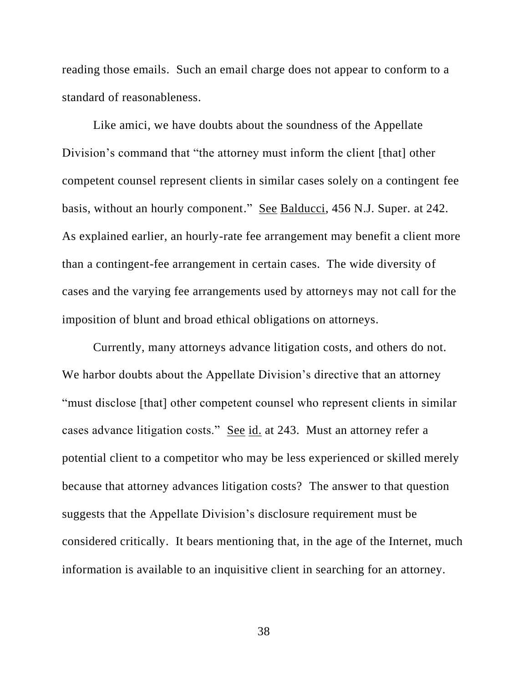reading those emails. Such an email charge does not appear to conform to a standard of reasonableness.

Like amici, we have doubts about the soundness of the Appellate Division's command that "the attorney must inform the client [that] other competent counsel represent clients in similar cases solely on a contingent fee basis, without an hourly component." See Balducci, 456 N.J. Super. at 242. As explained earlier, an hourly-rate fee arrangement may benefit a client more than a contingent-fee arrangement in certain cases. The wide diversity of cases and the varying fee arrangements used by attorneys may not call for the imposition of blunt and broad ethical obligations on attorneys.

Currently, many attorneys advance litigation costs, and others do not. We harbor doubts about the Appellate Division's directive that an attorney "must disclose [that] other competent counsel who represent clients in similar cases advance litigation costs." See id. at 243. Must an attorney refer a potential client to a competitor who may be less experienced or skilled merely because that attorney advances litigation costs? The answer to that question suggests that the Appellate Division's disclosure requirement must be considered critically. It bears mentioning that, in the age of the Internet, much information is available to an inquisitive client in searching for an attorney.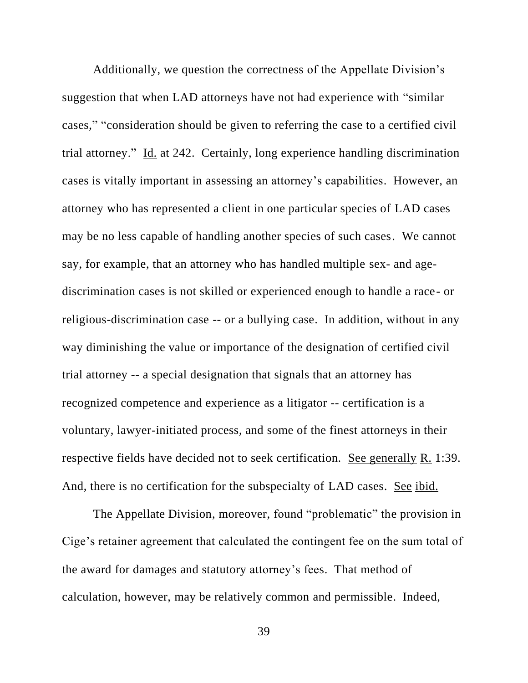Additionally, we question the correctness of the Appellate Division's suggestion that when LAD attorneys have not had experience with "similar cases," "consideration should be given to referring the case to a certified civil trial attorney." Id. at 242. Certainly, long experience handling discrimination cases is vitally important in assessing an attorney's capabilities. However, an attorney who has represented a client in one particular species of LAD cases may be no less capable of handling another species of such cases. We cannot say, for example, that an attorney who has handled multiple sex- and agediscrimination cases is not skilled or experienced enough to handle a race- or religious-discrimination case -- or a bullying case. In addition, without in any way diminishing the value or importance of the designation of certified civil trial attorney -- a special designation that signals that an attorney has recognized competence and experience as a litigator -- certification is a voluntary, lawyer-initiated process, and some of the finest attorneys in their respective fields have decided not to seek certification. See generally R. 1:39. And, there is no certification for the subspecialty of LAD cases. See ibid.

The Appellate Division, moreover, found "problematic" the provision in Cige's retainer agreement that calculated the contingent fee on the sum total of the award for damages and statutory attorney's fees. That method of calculation, however, may be relatively common and permissible. Indeed,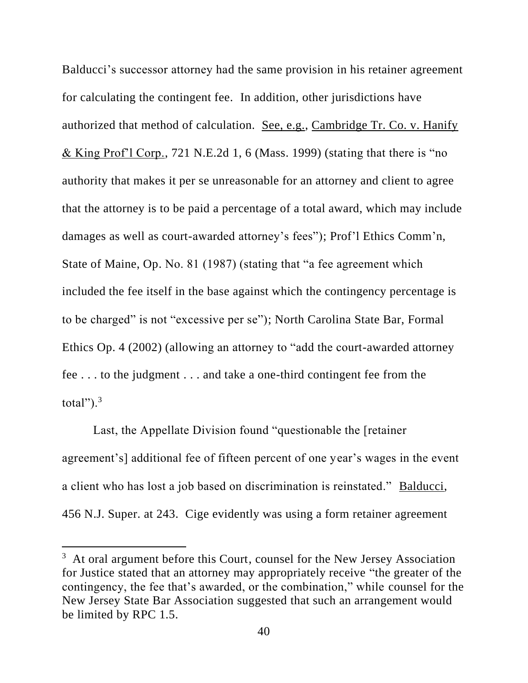Balducci's successor attorney had the same provision in his retainer agreement for calculating the contingent fee. In addition, other jurisdictions have authorized that method of calculation. See, e.g., Cambridge Tr. Co. v. Hanify & King Prof'l Corp., 721 N.E.2d 1, 6 (Mass. 1999) (stating that there is "no authority that makes it per se unreasonable for an attorney and client to agree that the attorney is to be paid a percentage of a total award, which may include damages as well as court-awarded attorney's fees"); Prof'l Ethics Comm'n, State of Maine, Op. No. 81 (1987) (stating that "a fee agreement which included the fee itself in the base against which the contingency percentage is to be charged" is not "excessive per se"); North Carolina State Bar, Formal Ethics Op. 4 (2002) (allowing an attorney to "add the court-awarded attorney fee . . . to the judgment . . . and take a one-third contingent fee from the total"). $3$ 

Last, the Appellate Division found "questionable the [retainer agreement's] additional fee of fifteen percent of one year's wages in the event a client who has lost a job based on discrimination is reinstated." Balducci, 456 N.J. Super. at 243. Cige evidently was using a form retainer agreement

<sup>&</sup>lt;sup>3</sup> At oral argument before this Court, counsel for the New Jersey Association for Justice stated that an attorney may appropriately receive "the greater of the contingency, the fee that's awarded, or the combination," while counsel for the New Jersey State Bar Association suggested that such an arrangement would be limited by RPC 1.5.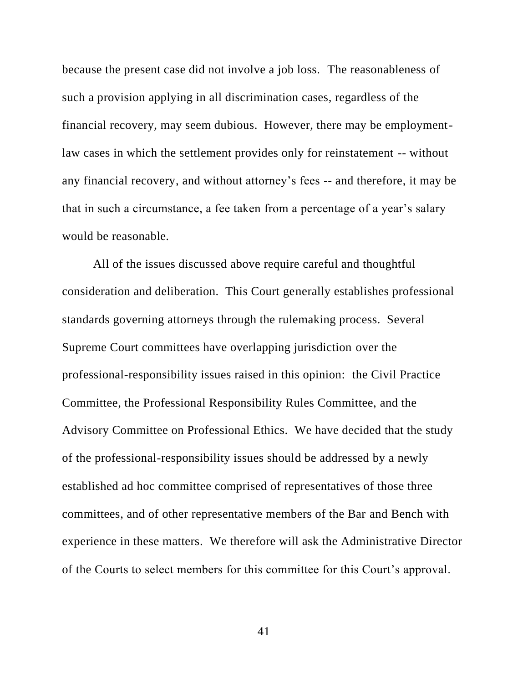because the present case did not involve a job loss. The reasonableness of such a provision applying in all discrimination cases, regardless of the financial recovery, may seem dubious. However, there may be employmentlaw cases in which the settlement provides only for reinstatement -- without any financial recovery, and without attorney's fees -- and therefore, it may be that in such a circumstance, a fee taken from a percentage of a year's salary would be reasonable.

All of the issues discussed above require careful and thoughtful consideration and deliberation. This Court generally establishes professional standards governing attorneys through the rulemaking process. Several Supreme Court committees have overlapping jurisdiction over the professional-responsibility issues raised in this opinion: the Civil Practice Committee, the Professional Responsibility Rules Committee, and the Advisory Committee on Professional Ethics. We have decided that the study of the professional-responsibility issues should be addressed by a newly established ad hoc committee comprised of representatives of those three committees, and of other representative members of the Bar and Bench with experience in these matters. We therefore will ask the Administrative Director of the Courts to select members for this committee for this Court's approval.